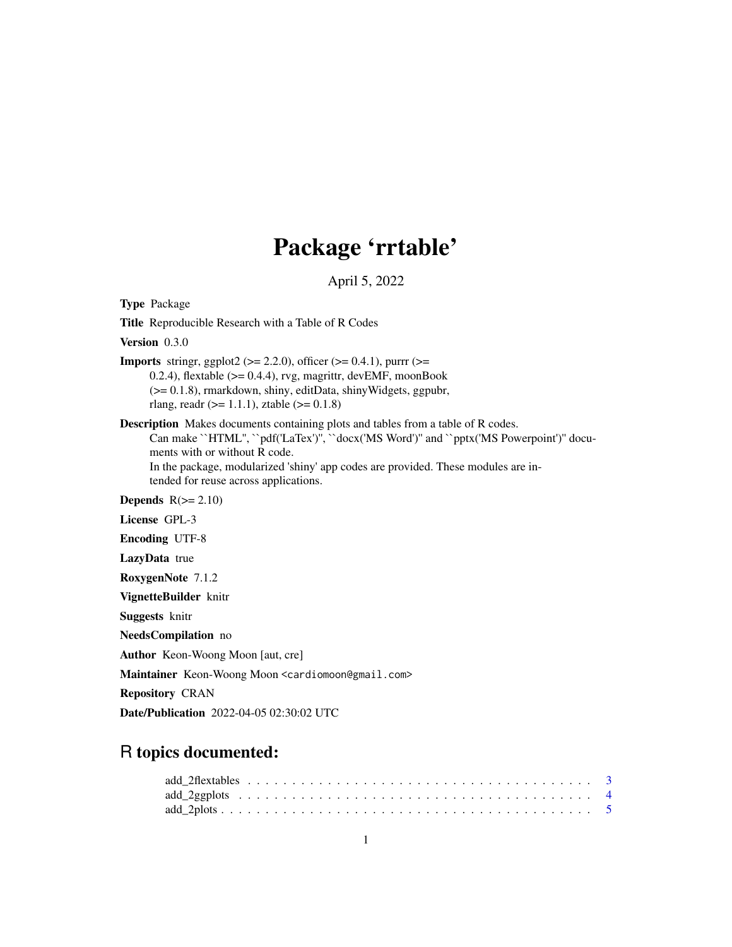# Package 'rrtable'

April 5, 2022

| <b>Type Package</b>                                                                                                                                                                                                                                                                                                                            |
|------------------------------------------------------------------------------------------------------------------------------------------------------------------------------------------------------------------------------------------------------------------------------------------------------------------------------------------------|
| Title Reproducible Research with a Table of R Codes                                                                                                                                                                                                                                                                                            |
| Version 0.3.0                                                                                                                                                                                                                                                                                                                                  |
| <b>Imports</b> stringr, ggplot2 ( $> = 2.2.0$ ), officer ( $> = 0.4.1$ ), purrr ( $> =$<br>0.2.4), flextable $(>= 0.4.4)$ , rvg, magrittr, devEMF, moonBook<br>$(>= 0.1.8)$ , rmarkdown, shiny, editData, shinyWidgets, ggpubr,<br>rlang, readr ( $> = 1.1.1$ ), ztable ( $> = 0.1.8$ )                                                        |
| <b>Description</b> Makes documents containing plots and tables from a table of R codes.<br>Can make "HTML", "pdf('LaTex')", "docx('MS Word')" and "pptx('MS Powerpoint')" docu-<br>ments with or without R code.<br>In the package, modularized 'shiny' app codes are provided. These modules are in-<br>tended for reuse across applications. |
| Depends $R(>= 2.10)$                                                                                                                                                                                                                                                                                                                           |
| License GPL-3                                                                                                                                                                                                                                                                                                                                  |
| <b>Encoding UTF-8</b>                                                                                                                                                                                                                                                                                                                          |
| LazyData true                                                                                                                                                                                                                                                                                                                                  |
| RoxygenNote 7.1.2                                                                                                                                                                                                                                                                                                                              |
| VignetteBuilder knitr                                                                                                                                                                                                                                                                                                                          |
| <b>Suggests</b> knitr                                                                                                                                                                                                                                                                                                                          |
| NeedsCompilation no                                                                                                                                                                                                                                                                                                                            |
| <b>Author</b> Keon-Woong Moon [aut, cre]                                                                                                                                                                                                                                                                                                       |
| Maintainer Keon-Woong Moon <cardiomoon@gmail.com></cardiomoon@gmail.com>                                                                                                                                                                                                                                                                       |
| <b>Repository CRAN</b>                                                                                                                                                                                                                                                                                                                         |
| <b>Date/Publication</b> 2022-04-05 02:30:02 UTC                                                                                                                                                                                                                                                                                                |

# R topics documented: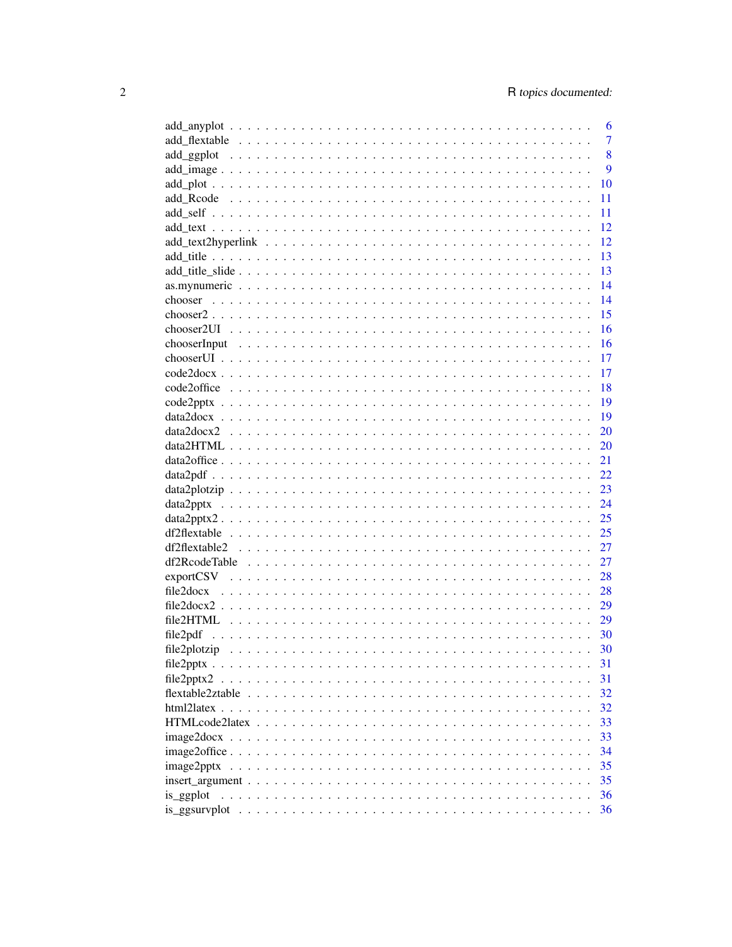|                                                                                                                             | 6              |
|-----------------------------------------------------------------------------------------------------------------------------|----------------|
|                                                                                                                             | $\overline{7}$ |
|                                                                                                                             | 8              |
|                                                                                                                             | 9              |
|                                                                                                                             | 10             |
|                                                                                                                             | 11             |
|                                                                                                                             | 11             |
|                                                                                                                             | 12             |
|                                                                                                                             | 12             |
|                                                                                                                             | 13             |
|                                                                                                                             | 13             |
|                                                                                                                             | 14             |
|                                                                                                                             | 14             |
|                                                                                                                             | 15             |
|                                                                                                                             | 16             |
|                                                                                                                             | 16             |
|                                                                                                                             | 17             |
|                                                                                                                             | 17             |
|                                                                                                                             | 18             |
|                                                                                                                             | 19             |
|                                                                                                                             | 19             |
|                                                                                                                             | 20             |
|                                                                                                                             | 20             |
|                                                                                                                             | 21             |
|                                                                                                                             | 22             |
|                                                                                                                             | 23             |
|                                                                                                                             | 24             |
| $data2pptx2$                                                                                                                | 25             |
|                                                                                                                             | 25             |
|                                                                                                                             | 27             |
|                                                                                                                             | 27             |
|                                                                                                                             | 28             |
|                                                                                                                             | 28             |
|                                                                                                                             | 29             |
|                                                                                                                             | 29             |
| file2pdf                                                                                                                    | 30             |
|                                                                                                                             | 30             |
|                                                                                                                             | 31             |
|                                                                                                                             | 31             |
|                                                                                                                             | 32             |
|                                                                                                                             | 32             |
|                                                                                                                             | 33             |
| $image2docx \ldots \ldots \ldots \ldots \ldots \ldots \ldots \ldots \ldots \ldots \ldots \ldots \ldots$                     | 33             |
|                                                                                                                             | 34             |
| image2pptx                                                                                                                  | 35             |
| $insert\_argument \dots \dots \dots \dots \dots \dots \dots \dots \dots \dots \dots \dots \dots \dots \dots \dots \dots$    | 35             |
| is_ggplot<br>a dia amin'ny fivondronan-kaominin'i Nouvelle-Aquitaine, ao amin'ny faritr'i Languedoc-Aquitaine, ao amin'ny f | 36             |
|                                                                                                                             | 36             |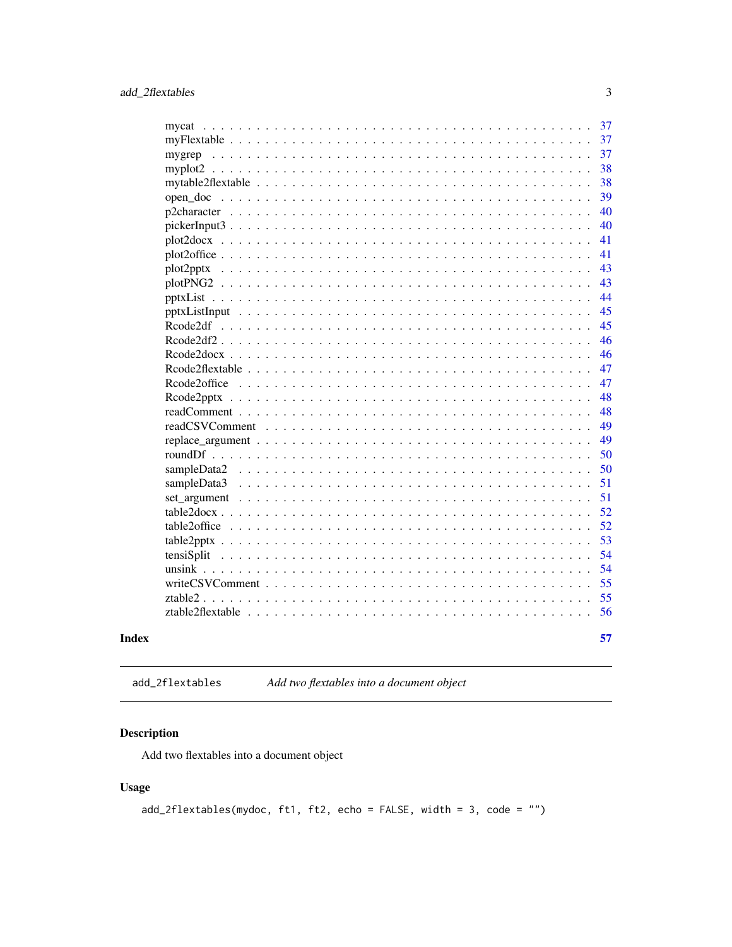<span id="page-2-0"></span>

|                                | 37 |
|--------------------------------|----|
|                                | 37 |
| mygrep                         | 37 |
|                                | 38 |
|                                | 38 |
|                                | 39 |
|                                | 40 |
|                                | 40 |
|                                | 41 |
|                                | 41 |
| plot2pptx                      | 43 |
|                                | 43 |
|                                | 44 |
|                                | 45 |
|                                | 45 |
|                                | 46 |
|                                | 46 |
|                                | 47 |
|                                | 47 |
|                                | 48 |
|                                | 48 |
|                                | 49 |
|                                | 49 |
|                                | 50 |
|                                | 50 |
| sampleData3                    | 51 |
|                                | 51 |
| $table2docx$ ,                 | 52 |
|                                | 52 |
|                                | 53 |
| tensiSplit                     | 54 |
|                                | 54 |
|                                | 55 |
| $ztable2 \ldots \ldots \ldots$ | 55 |
|                                | 56 |
|                                |    |
|                                | 57 |

# **Index**

add\_2flextables Add two flextables into a document object

# Description

Add two flextables into a document object

# **Usage**

 $add_2flextables(mydoc, ft1, ft2, echo = FALSE, width = 3, code = "")$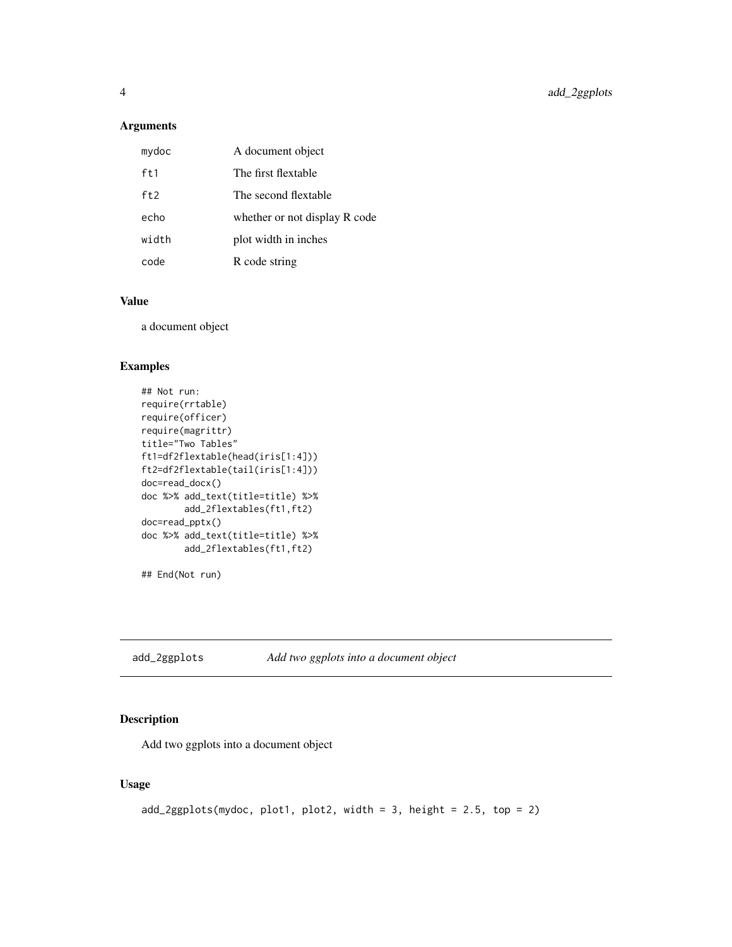# <span id="page-3-0"></span>Arguments

| mydoc | A document object             |
|-------|-------------------------------|
| ft1   | The first flextable           |
| ft2   | The second flextable          |
| echo  | whether or not display R code |
| width | plot width in inches          |
| code  | R code string                 |

# Value

a document object

#### Examples

```
## Not run:
require(rrtable)
require(officer)
require(magrittr)
title="Two Tables"
ft1=df2flextable(head(iris[1:4]))
ft2=df2flextable(tail(iris[1:4]))
doc=read_docx()
doc %>% add_text(title=title) %>%
       add_2flextables(ft1,ft2)
doc=read_pptx()
doc %>% add_text(title=title) %>%
       add_2flextables(ft1,ft2)
```
## End(Not run)

add\_2ggplots *Add two ggplots into a document object*

# Description

Add two ggplots into a document object

```
add_2ggplots(mydoc, plot1, plot2, width = 3, height = 2.5, top = 2)
```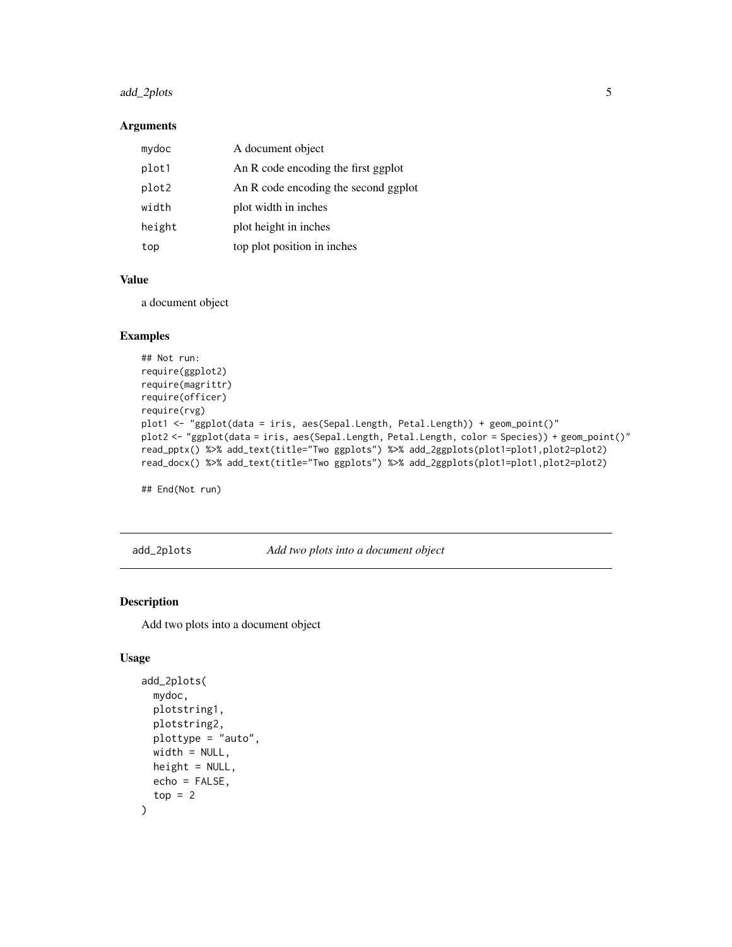# <span id="page-4-0"></span>add\_2plots 5

### Arguments

| mydoc  | A document object                    |
|--------|--------------------------------------|
| plot1  | An R code encoding the first ggplot  |
| plot2  | An R code encoding the second ggplot |
| width  | plot width in inches                 |
| height | plot height in inches                |
| top    | top plot position in inches          |

# Value

a document object

### Examples

```
## Not run:
require(ggplot2)
require(magrittr)
require(officer)
require(rvg)
plot1 <- "ggplot(data = iris, aes(Sepal.Length, Petal.Length)) + geom_point()"
plot2 <- "ggplot(data = iris, aes(Sepal.Length, Petal.Length, color = Species)) + geom_point()"
read_pptx() %>% add_text(title="Two ggplots") %>% add_2ggplots(plot1=plot1,plot2=plot2)
read_docx() %>% add_text(title="Two ggplots") %>% add_2ggplots(plot1=plot1,plot2=plot2)
```
## End(Not run)

add\_2plots *Add two plots into a document object*

#### Description

Add two plots into a document object

```
add_2plots(
  mydoc,
  plotstring1,
  plotstring2,
  plottype = "auto",
  width = NULL,
  height = NULL,echo = FALSE,
  top = 2\mathcal{E}
```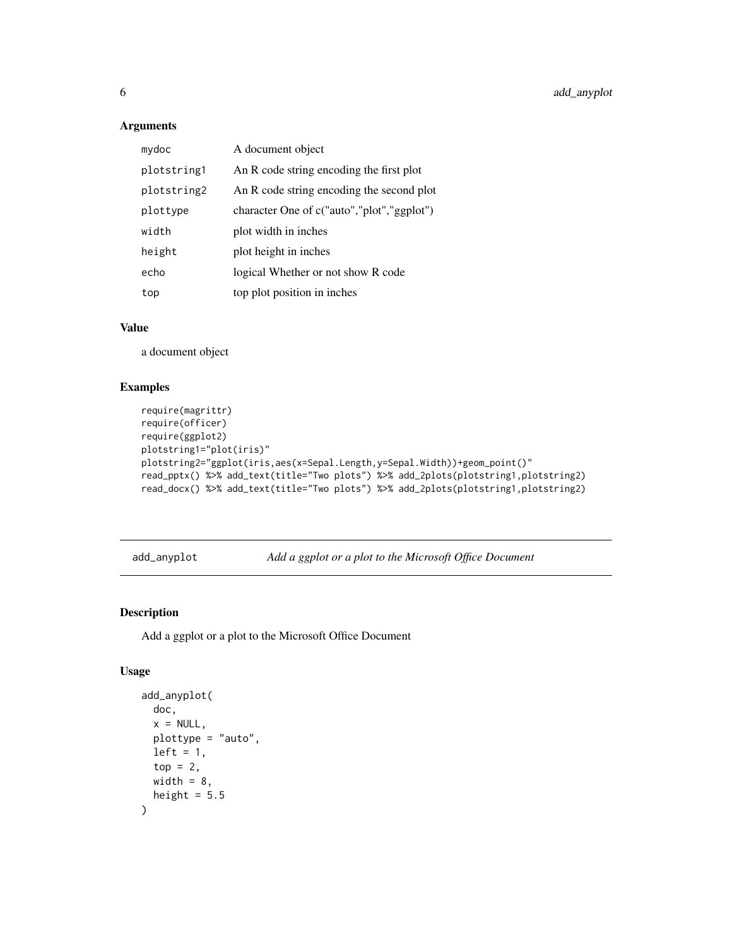### <span id="page-5-0"></span>Arguments

| mydoc       | A document object                          |
|-------------|--------------------------------------------|
| plotstring1 | An R code string encoding the first plot   |
| plotstring2 | An R code string encoding the second plot  |
| plottype    | character One of c("auto","plot","ggplot") |
| width       | plot width in inches                       |
| height      | plot height in inches                      |
| echo        | logical Whether or not show R code         |
| top         | top plot position in inches                |

### Value

a document object

# Examples

```
require(magrittr)
require(officer)
require(ggplot2)
plotstring1="plot(iris)"
plotstring2="ggplot(iris,aes(x=Sepal.Length,y=Sepal.Width))+geom_point()"
read_pptx() %>% add_text(title="Two plots") %>% add_2plots(plotstring1,plotstring2)
read_docx() %>% add_text(title="Two plots") %>% add_2plots(plotstring1,plotstring2)
```
add\_anyplot *Add a ggplot or a plot to the Microsoft Office Document*

# Description

Add a ggplot or a plot to the Microsoft Office Document

```
add_anyplot(
  doc,
  x = NULL,plottype = "auto",
  left = 1,top = 2,
  width = 8,
  height = 5.5\mathcal{E}
```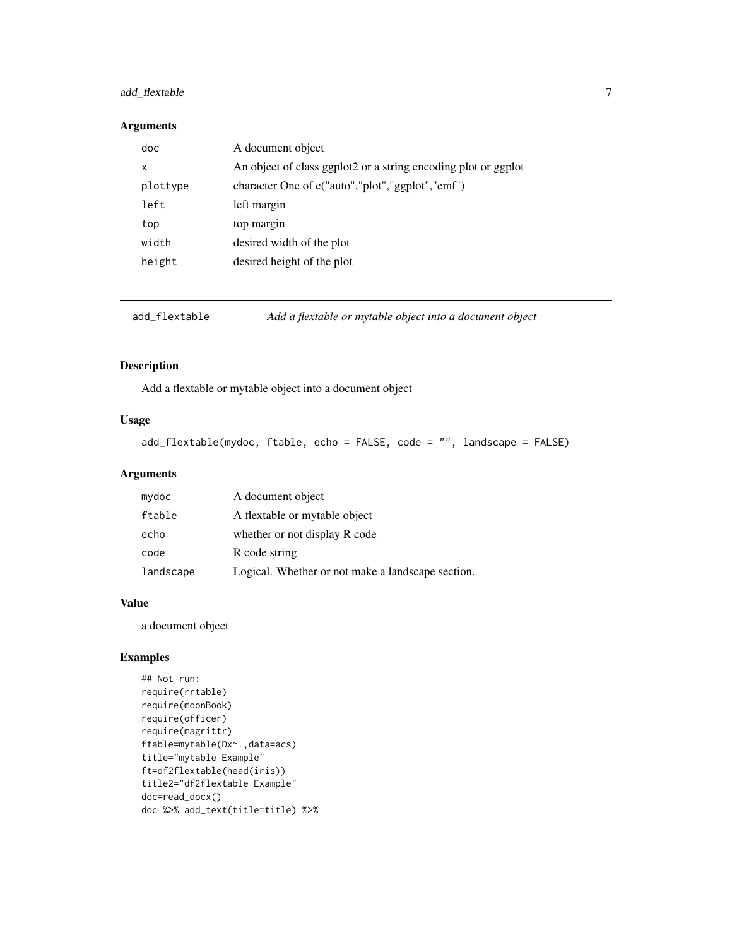# <span id="page-6-0"></span>add\_flextable 7

#### Arguments

| doc      | A document object                                              |
|----------|----------------------------------------------------------------|
| x        | An object of class ggplot2 or a string encoding plot or ggplot |
| plottype | character One of c("auto","plot","ggplot","emf")               |
| left     | left margin                                                    |
| top      | top margin                                                     |
| width    | desired width of the plot                                      |
| height   | desired height of the plot                                     |

add\_flextable *Add a flextable or mytable object into a document object*

# Description

Add a flextable or mytable object into a document object

# Usage

add\_flextable(mydoc, ftable, echo = FALSE, code = "", landscape = FALSE)

# Arguments

| mydoc     | A document object                                 |
|-----------|---------------------------------------------------|
| ftable    | A flextable or mytable object                     |
| echo      | whether or not display R code                     |
| code      | R code string                                     |
| landscape | Logical. Whether or not make a landscape section. |

#### Value

a document object

# Examples

```
## Not run:
require(rrtable)
require(moonBook)
require(officer)
require(magrittr)
ftable=mytable(Dx~.,data=acs)
title="mytable Example"
ft=df2flextable(head(iris))
title2="df2flextable Example"
doc=read_docx()
doc %>% add_text(title=title) %>%
```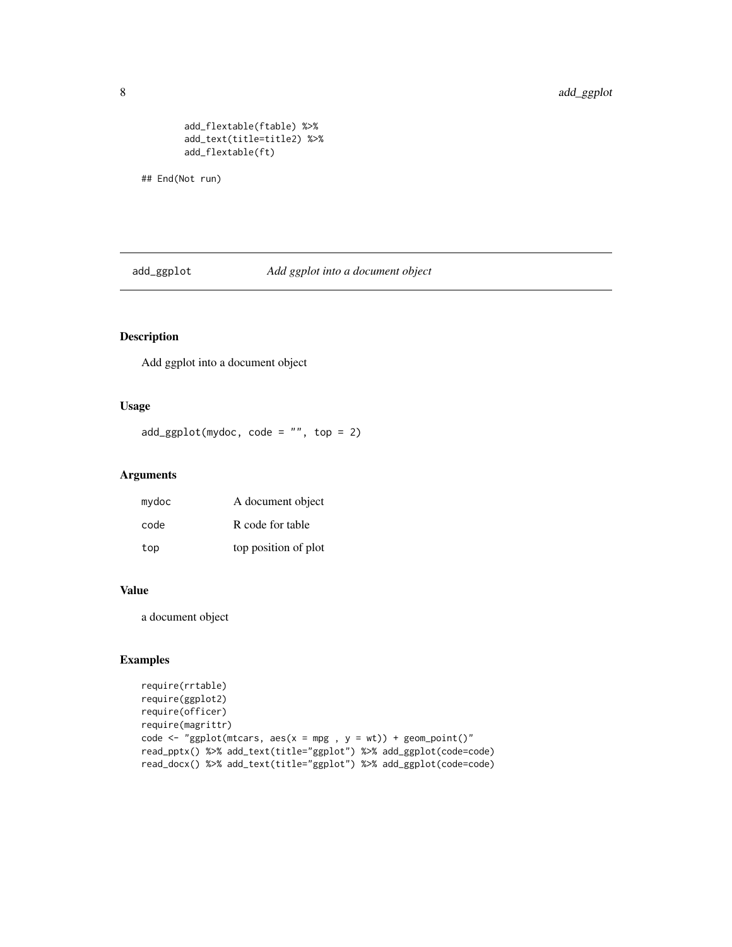# <span id="page-7-0"></span>8 add\_ggplot

add\_flextable(ftable) %>% add\_text(title=title2) %>% add\_flextable(ft)

## End(Not run)

add\_ggplot *Add ggplot into a document object*

# Description

Add ggplot into a document object

#### Usage

 $add\_ggplot(mydoc, code = "", top = 2)$ 

#### Arguments

| mydoc | A document object    |
|-------|----------------------|
| code  | R code for table     |
| top   | top position of plot |

#### Value

a document object

### Examples

```
require(rrtable)
require(ggplot2)
require(officer)
require(magrittr)
code \leq "ggplot(mtcars, aes(x = mpg, y = wt)) + geom_point()"
read_pptx() %>% add_text(title="ggplot") %>% add_ggplot(code=code)
read_docx() %>% add_text(title="ggplot") %>% add_ggplot(code=code)
```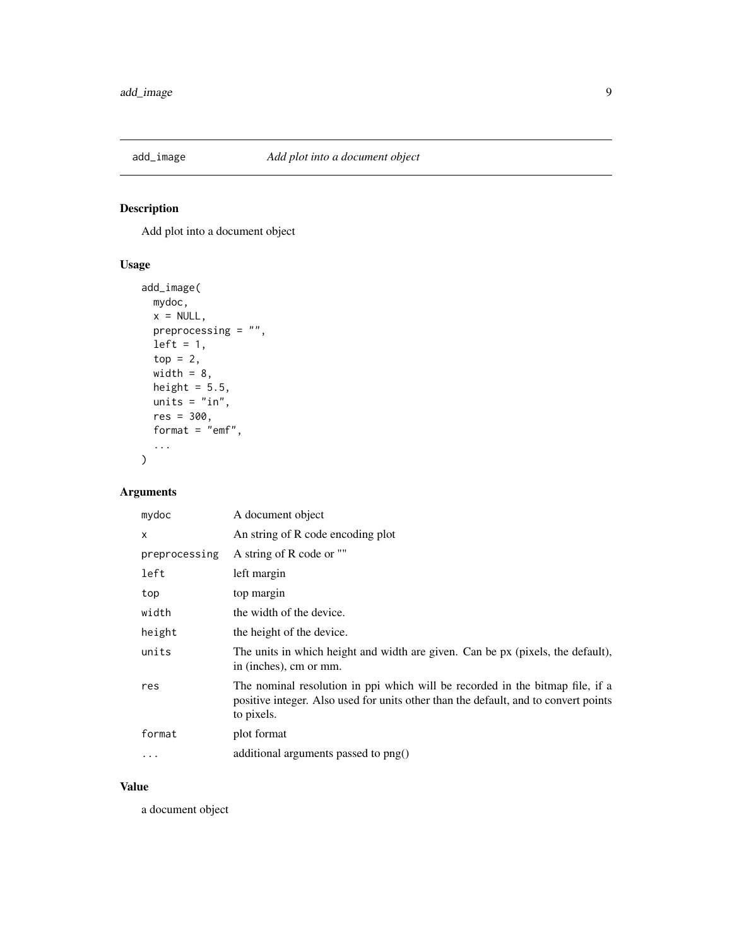<span id="page-8-0"></span>

Add plot into a document object

# Usage

```
add_image(
 mydoc,
 x = NULL,preprocessing = ",
 left = 1,top = 2,width = 8,
 height = 5.5,
 units = "in",res = 300,format = "emf",...
\mathcal{L}
```
# Arguments

| mydoc         | A document object                                                                                                                                                                  |
|---------------|------------------------------------------------------------------------------------------------------------------------------------------------------------------------------------|
| x             | An string of R code encoding plot                                                                                                                                                  |
| preprocessing | A string of R code or ""                                                                                                                                                           |
| left          | left margin                                                                                                                                                                        |
| top           | top margin                                                                                                                                                                         |
| width         | the width of the device.                                                                                                                                                           |
| height        | the height of the device.                                                                                                                                                          |
| units         | The units in which height and width are given. Can be px (pixels, the default),<br>in (inches), cm or mm.                                                                          |
| res           | The nominal resolution in ppi which will be recorded in the bitmap file, if a<br>positive integer. Also used for units other than the default, and to convert points<br>to pixels. |
| format        | plot format                                                                                                                                                                        |
| .             | additional arguments passed to png()                                                                                                                                               |
|               |                                                                                                                                                                                    |

### Value

a document object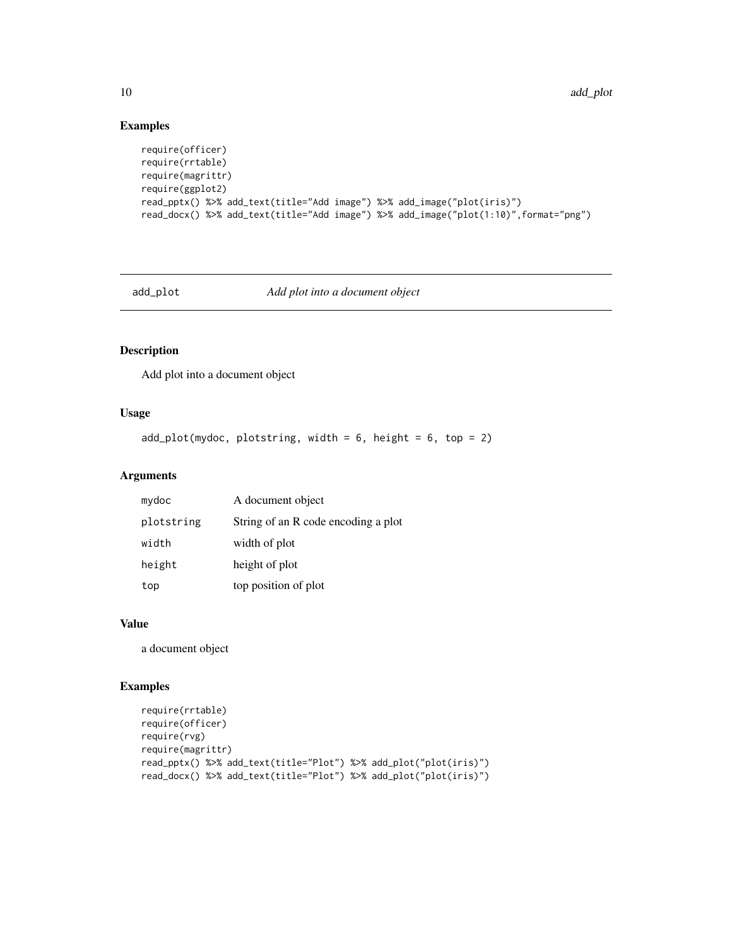# Examples

```
require(officer)
require(rrtable)
require(magrittr)
require(ggplot2)
read_pptx() %>% add_text(title="Add image") %>% add_image("plot(iris)")
read_docx() %>% add_text(title="Add image") %>% add_image("plot(1:10)",format="png")
```
# add\_plot *Add plot into a document object*

# Description

Add plot into a document object

# Usage

```
add\_plot(mydoc, plotstring, width = 6, height = 6, top = 2)
```
### Arguments

| mydoc      | A document object                   |
|------------|-------------------------------------|
| plotstring | String of an R code encoding a plot |
| width      | width of plot                       |
| height     | height of plot                      |
| top        | top position of plot                |

### Value

a document object

#### Examples

```
require(rrtable)
require(officer)
require(rvg)
require(magrittr)
read_pptx() %>% add_text(title="Plot") %>% add_plot("plot(iris)")
read_docx() %>% add_text(title="Plot") %>% add_plot("plot(iris)")
```
<span id="page-9-0"></span>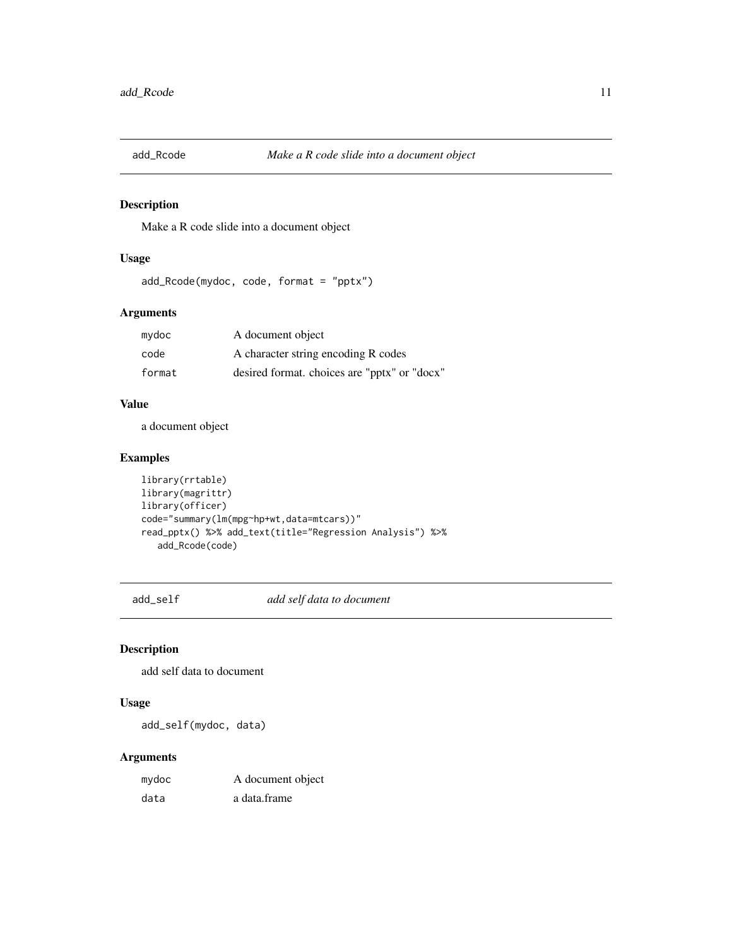<span id="page-10-0"></span>

Make a R code slide into a document object

# Usage

```
add_Rcode(mydoc, code, format = "pptx")
```
# Arguments

| mydoc  | A document object                            |
|--------|----------------------------------------------|
| code   | A character string encoding R codes          |
| format | desired format. choices are "pptx" or "docx" |

### Value

a document object

# Examples

```
library(rrtable)
library(magrittr)
library(officer)
code="summary(lm(mpg~hp+wt,data=mtcars))"
read_pptx() %>% add_text(title="Regression Analysis") %>%
   add_Rcode(code)
```
add\_self *add self data to document*

# Description

add self data to document

# Usage

add\_self(mydoc, data)

| mydoc | A document object |
|-------|-------------------|
| data  | a data.frame      |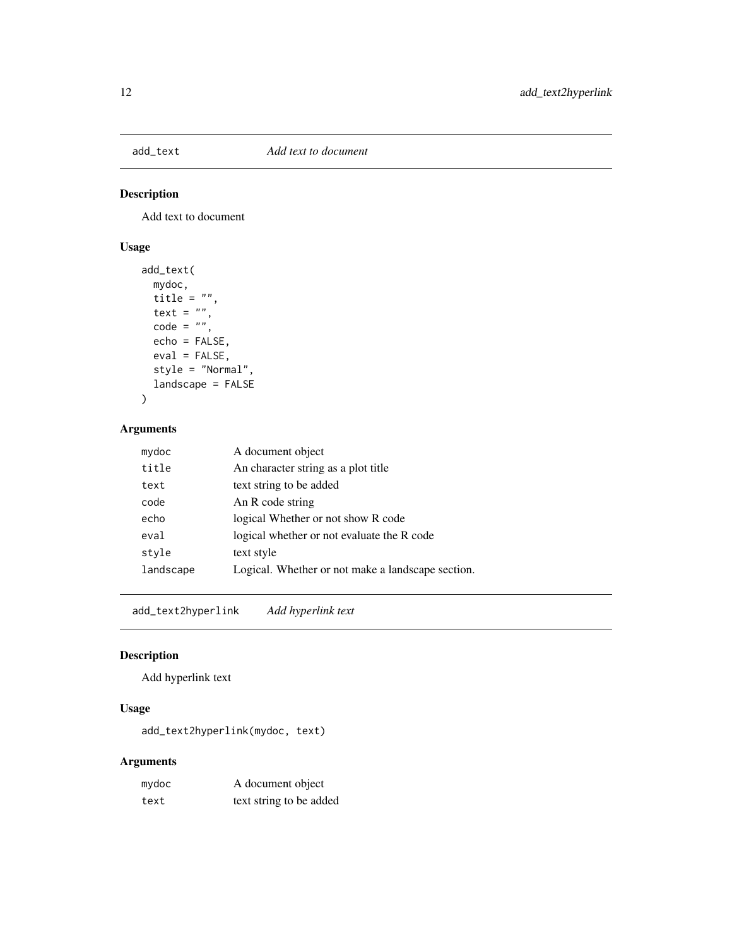<span id="page-11-0"></span>

Add text to document

# Usage

```
add_text(
 mydoc,
 title = ",
 text = ",
 code = "",echo = FALSE,
 eval = FALSE,style = "Normal",
 landscape = FALSE
)
```
# Arguments

| mydoc     | A document object                                 |
|-----------|---------------------------------------------------|
| title     | An character string as a plot title               |
| text      | text string to be added                           |
| code      | An R code string                                  |
| echo      | logical Whether or not show R code                |
| eval      | logical whether or not evaluate the R code        |
| style     | text style                                        |
| landscape | Logical. Whether or not make a landscape section. |

add\_text2hyperlink *Add hyperlink text*

# Description

Add hyperlink text

# Usage

add\_text2hyperlink(mydoc, text)

| mydoc | A document object       |
|-------|-------------------------|
| text  | text string to be added |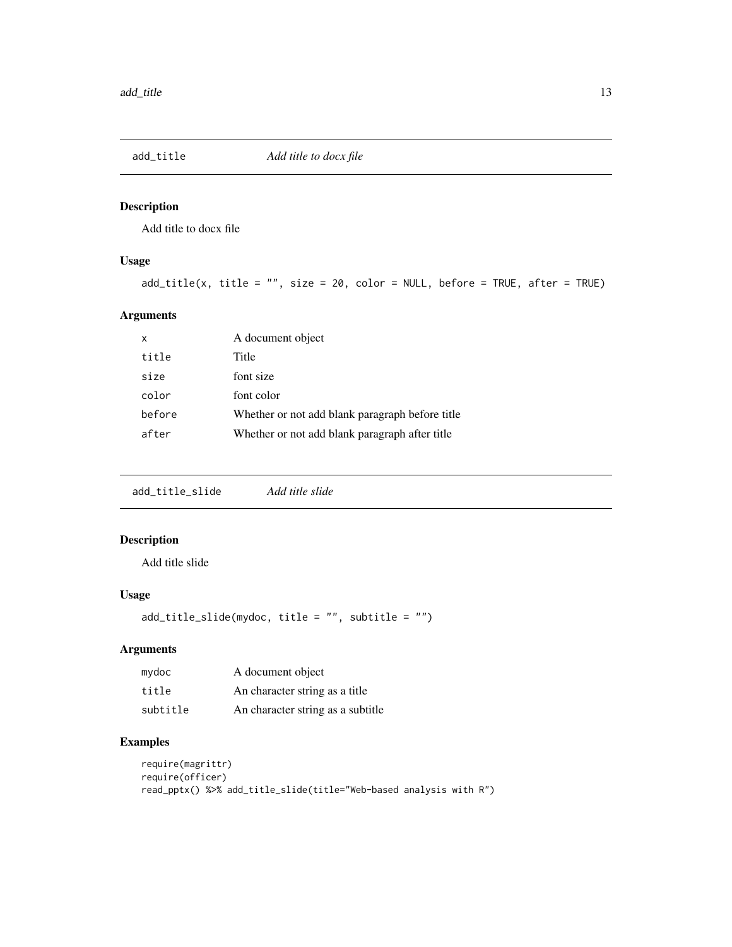<span id="page-12-0"></span>

Add title to docx file

# Usage

add\_title(x, title = "", size = 20, color = NULL, before = TRUE, after = TRUE)

# Arguments

| X      | A document object                               |
|--------|-------------------------------------------------|
| title  | Title                                           |
| size   | font size                                       |
| color  | font color                                      |
| before | Whether or not add blank paragraph before title |
| after  | Whether or not add blank paragraph after title  |

add\_title\_slide *Add title slide*

# Description

Add title slide

### Usage

```
add_title_slide(mydoc, title = "", subtitle = "")
```
# Arguments

| mydoc    | A document object                 |
|----------|-----------------------------------|
| title    | An character string as a title    |
| subtitle | An character string as a subtitle |

# Examples

```
require(magrittr)
require(officer)
read_pptx() %>% add_title_slide(title="Web-based analysis with R")
```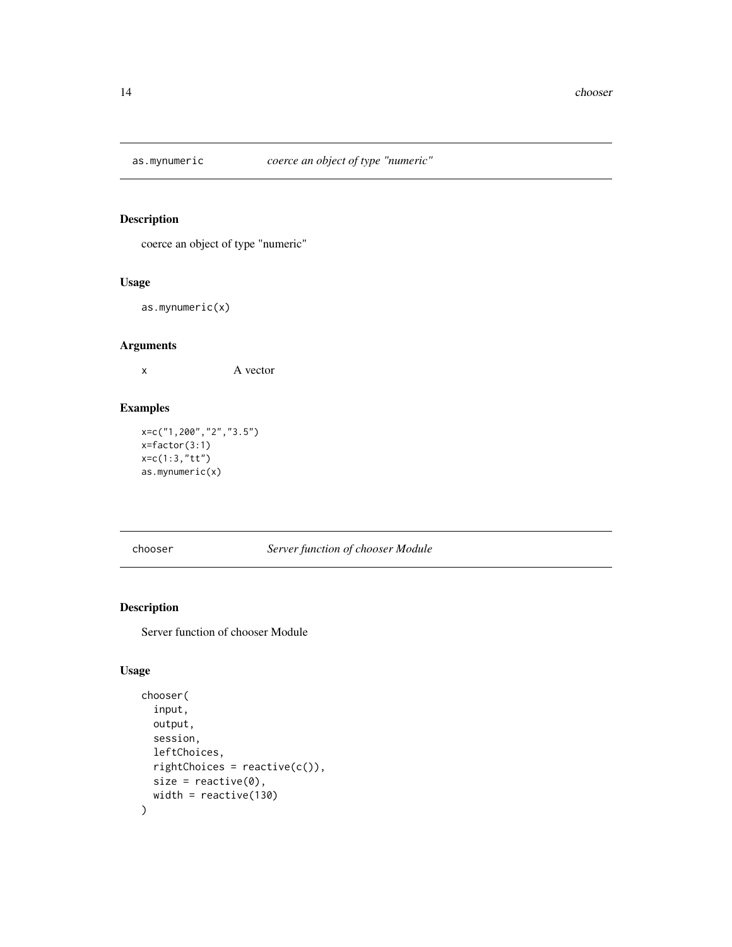<span id="page-13-0"></span>

coerce an object of type "numeric"

# Usage

as.mynumeric(x)

# Arguments

x A vector

# Examples

```
x=c("1,200","2","3.5")
x=factor(3:1)
x=c(1:3,"tt")
as.mynumeric(x)
```
chooser *Server function of chooser Module*

# Description

Server function of chooser Module

```
chooser(
  input,
  output,
  session,
  leftChoices,
  rightChoices = reactive(c()),
  size = reactive(0),
  width = reactive(130)
\mathcal{E}
```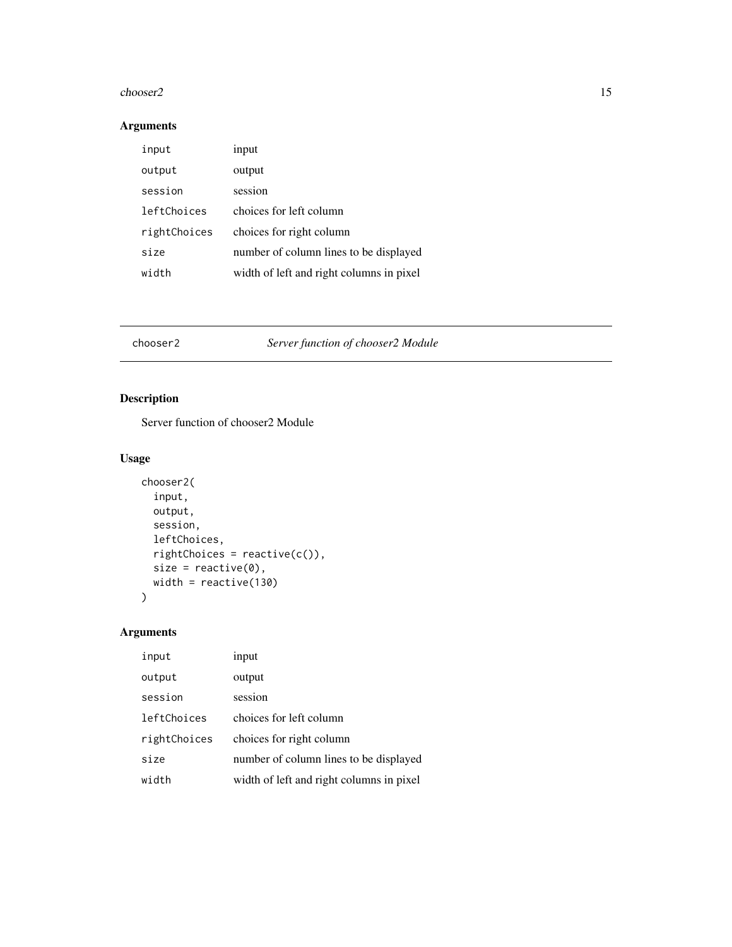#### <span id="page-14-0"></span>chooser2 15

# Arguments

| input        | input                                    |
|--------------|------------------------------------------|
| output       | output                                   |
| session      | session                                  |
| leftChoices  | choices for left column                  |
| rightChoices | choices for right column                 |
| size         | number of column lines to be displayed   |
| width        | width of left and right columns in pixel |

# chooser2 *Server function of chooser2 Module*

# Description

Server function of chooser2 Module

# Usage

```
chooser2(
  input,
 output,
 session,
 leftChoices,
 rightChoices = reactive(c()),
 size = reactive(0),
 width = reactive(130)
\mathcal{L}
```

| input        | input                                    |
|--------------|------------------------------------------|
| output       | output                                   |
| session      | session                                  |
| leftChoices  | choices for left column                  |
| rightChoices | choices for right column                 |
| size         | number of column lines to be displayed   |
| width        | width of left and right columns in pixel |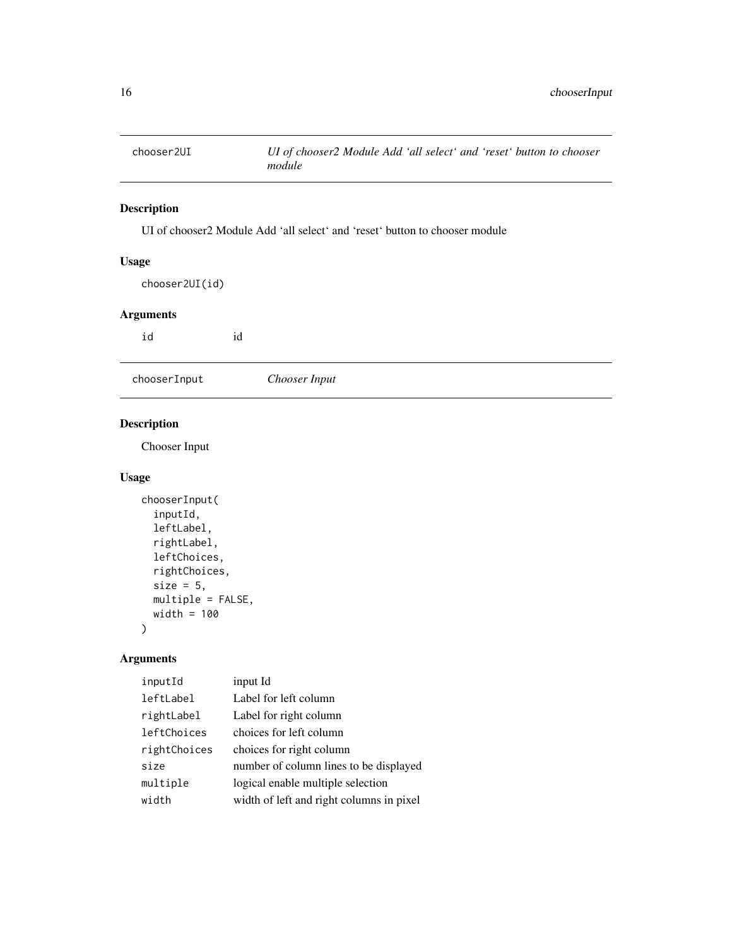<span id="page-15-0"></span>

UI of chooser2 Module Add 'all select' and 'reset' button to chooser module

# Usage

chooser2UI(id)

#### Arguments

id id

chooserInput *Chooser Input*

# Description

Chooser Input

# Usage

```
chooserInput(
  inputId,
  leftLabel,
  rightLabel,
  leftChoices,
  rightChoices,
  size = 5,
 multiple = FALSE,
 width = 100
)
```

| inputId      | input Id                                 |
|--------------|------------------------------------------|
| leftLabel    | Label for left column                    |
| rightLabel   | Label for right column                   |
| leftChoices  | choices for left column                  |
| rightChoices | choices for right column                 |
| size         | number of column lines to be displayed   |
| multiple     | logical enable multiple selection        |
| width        | width of left and right columns in pixel |
|              |                                          |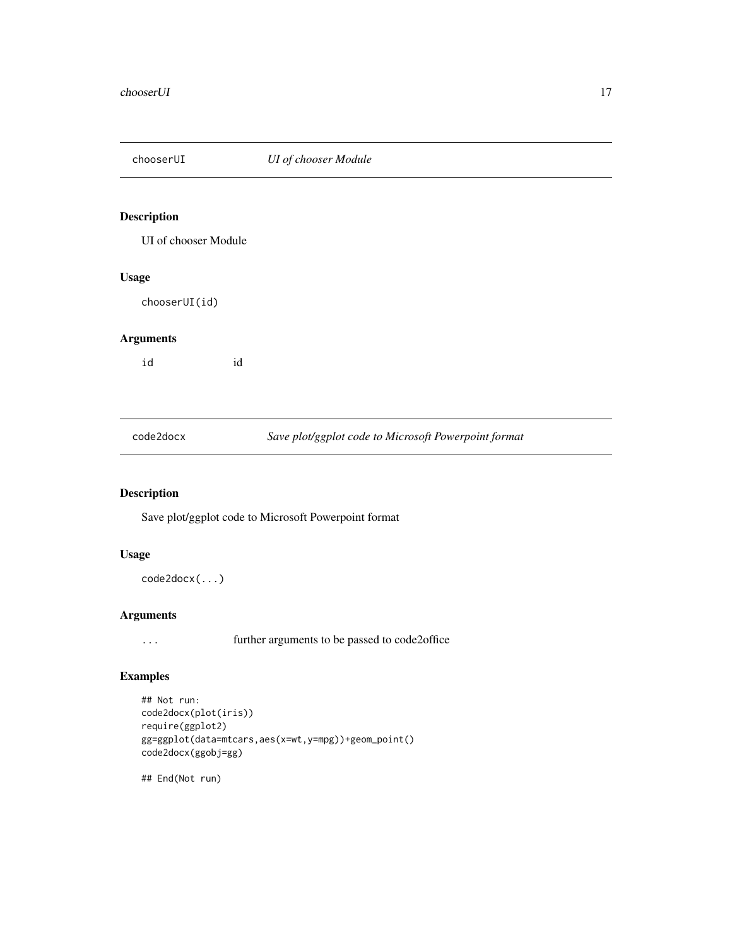<span id="page-16-0"></span>

UI of chooser Module

#### Usage

chooserUI(id)

### Arguments

id id

code2docx *Save plot/ggplot code to Microsoft Powerpoint format*

# Description

Save plot/ggplot code to Microsoft Powerpoint format

# Usage

```
code2docx(...)
```
# Arguments

... further arguments to be passed to code2office

# Examples

```
## Not run:
code2docx(plot(iris))
require(ggplot2)
gg=ggplot(data=mtcars,aes(x=wt,y=mpg))+geom_point()
code2docx(ggobj=gg)
```
## End(Not run)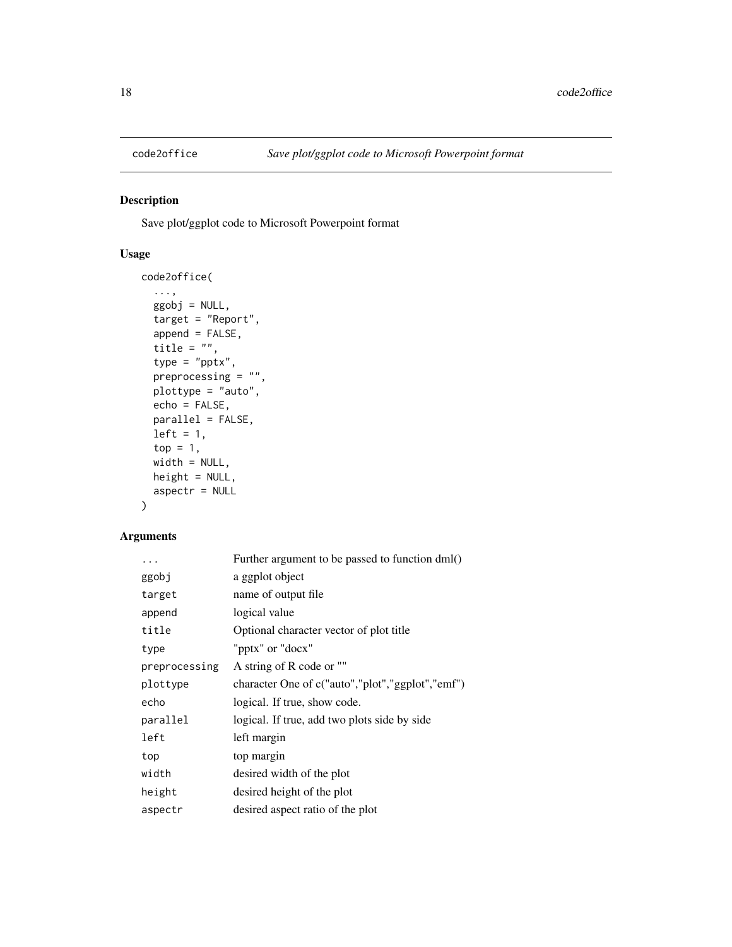<span id="page-17-0"></span>

Save plot/ggplot code to Microsoft Powerpoint format

# Usage

```
code2office(
  ...,
 ggobj = NULL,target = "Report",
 append = FALSE,
 title = ",
  type = "pptx",
 preprocessing = "",
 plottype = "auto",
 echo = FALSE,
 parallel = FALSE,
 left = 1,top = 1,
 width = NULL,
 height = NULL,aspectr = NULL
)
```

| .             | Further argument to be passed to function dml()  |
|---------------|--------------------------------------------------|
| ggobj         | a ggplot object                                  |
| target        | name of output file                              |
| append        | logical value                                    |
| title         | Optional character vector of plot title          |
| type          | "pptx" or "docx"                                 |
| preprocessing | A string of R code or ""                         |
| plottype      | character One of c("auto","plot","ggplot","emf") |
| echo          | logical. If true, show code.                     |
| parallel      | logical. If true, add two plots side by side     |
| left          | left margin                                      |
| top           | top margin                                       |
| width         | desired width of the plot                        |
| height        | desired height of the plot                       |
| aspectr       | desired aspect ratio of the plot                 |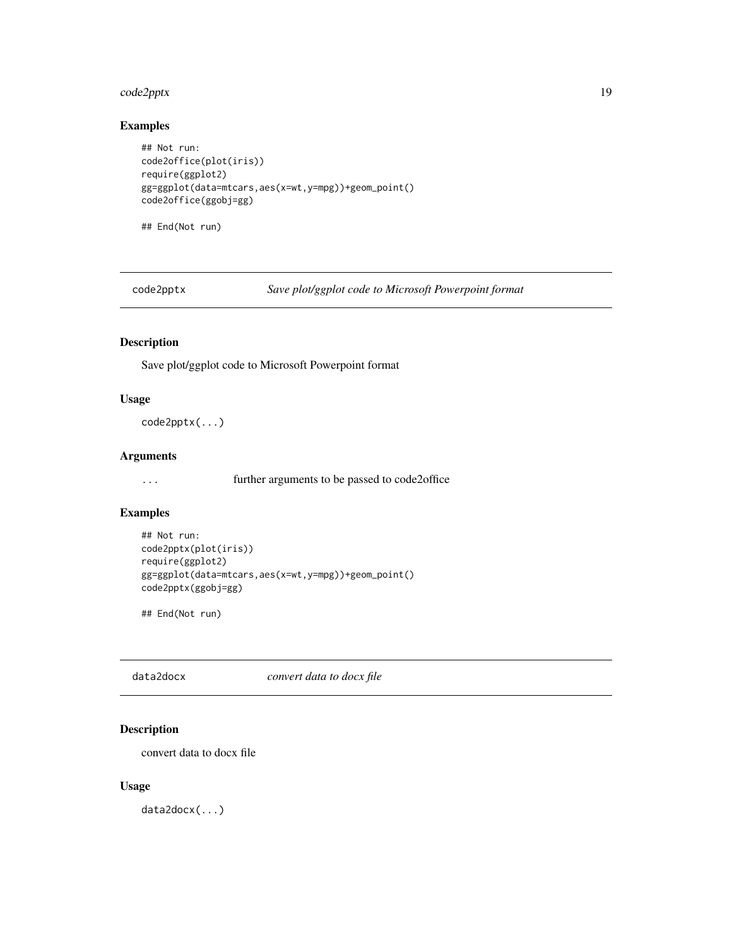# <span id="page-18-0"></span>code2pptx 19

# Examples

```
## Not run:
code2office(plot(iris))
require(ggplot2)
gg=ggplot(data=mtcars,aes(x=wt,y=mpg))+geom_point()
code2office(ggobj=gg)
```
## End(Not run)

code2pptx *Save plot/ggplot code to Microsoft Powerpoint format*

# Description

Save plot/ggplot code to Microsoft Powerpoint format

#### Usage

code2pptx(...)

### Arguments

... further arguments to be passed to code2office

# Examples

```
## Not run:
code2pptx(plot(iris))
require(ggplot2)
gg=ggplot(data=mtcars,aes(x=wt,y=mpg))+geom_point()
code2pptx(ggobj=gg)
```
## End(Not run)

data2docx *convert data to docx file*

# Description

convert data to docx file

#### Usage

data2docx(...)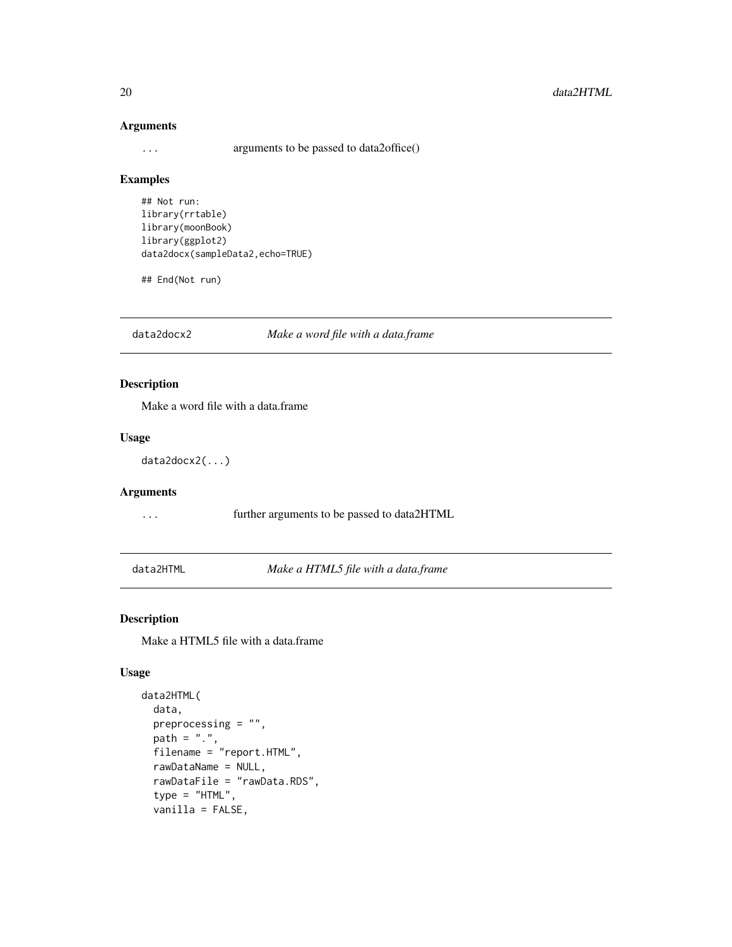#### 20 data2HTML

### Arguments

... arguments to be passed to data2office()

#### Examples

```
## Not run:
library(rrtable)
library(moonBook)
library(ggplot2)
data2docx(sampleData2,echo=TRUE)
```
## End(Not run)

data2docx2 *Make a word file with a data.frame*

# Description

Make a word file with a data.frame

#### Usage

```
data2docx2(...)
```
### Arguments

... further arguments to be passed to data2HTML

data2HTML *Make a HTML5 file with a data.frame*

### Description

Make a HTML5 file with a data.frame

```
data2HTML(
  data,
 preprocessing = "",
 path = "."filename = "report.HTML",
  rawDataName = NULL,
  rawDataFile = "rawData.RDS",
  type = "HTML",
  vanilla = FALSE,
```
<span id="page-19-0"></span>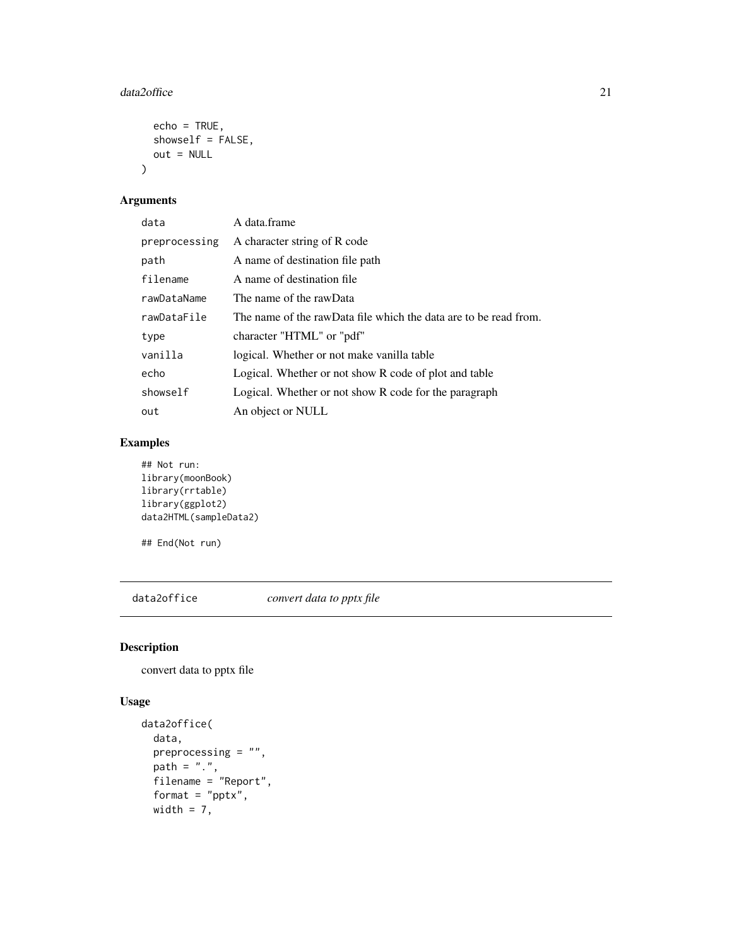#### <span id="page-20-0"></span>data2office 21

```
echo = TRUE,showself = FALSE,
  out = NULL\mathcal{L}
```
# Arguments

| data          | A data.frame                                                     |
|---------------|------------------------------------------------------------------|
| preprocessing | A character string of R code                                     |
| path          | A name of destination file path                                  |
| filename      | A name of destination file                                       |
| rawDataName   | The name of the rawData                                          |
| rawDataFile   | The name of the rawData file which the data are to be read from. |
| type          | character "HTML" or "pdf"                                        |
| vanilla       | logical. Whether or not make vanilla table                       |
| echo          | Logical. Whether or not show R code of plot and table            |
| showself      | Logical. Whether or not show R code for the paragraph            |
| out           | An object or NULL                                                |

# Examples

## Not run: library(moonBook) library(rrtable) library(ggplot2) data2HTML(sampleData2)

## End(Not run)

data2office *convert data to pptx file*

# Description

convert data to pptx file

```
data2office(
 data,
 preprocessing = "",
  path = "."filename = "Report",
 format = "pptx",
 width = 7,
```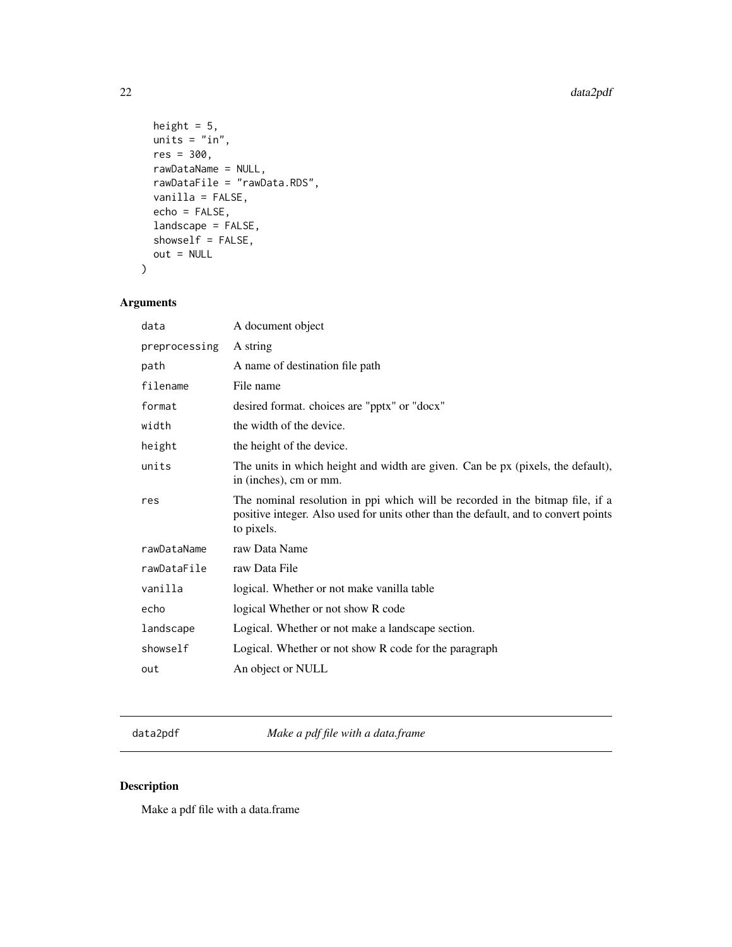```
height = 5,
 units = "in",res = 300,rawDataName = NULL,
 rawDataFile = "rawData.RDS",
 vanilla = FALSE,
 echo = FALSE,
 landscape = FALSE,
  showself = FALSE,
 out = NULL
)
```
# Arguments

| data          | A document object                                                                                                                                                                  |
|---------------|------------------------------------------------------------------------------------------------------------------------------------------------------------------------------------|
| preprocessing | A string                                                                                                                                                                           |
| path          | A name of destination file path                                                                                                                                                    |
| filename      | File name                                                                                                                                                                          |
| format        | desired format. choices are "pptx" or "docx"                                                                                                                                       |
| width         | the width of the device.                                                                                                                                                           |
| height        | the height of the device.                                                                                                                                                          |
| units         | The units in which height and width are given. Can be px (pixels, the default),<br>in (inches), cm or mm.                                                                          |
| res           | The nominal resolution in ppi which will be recorded in the bitmap file, if a<br>positive integer. Also used for units other than the default, and to convert points<br>to pixels. |
| rawDataName   | raw Data Name                                                                                                                                                                      |
| rawDataFile   | raw Data File                                                                                                                                                                      |
| vanilla       | logical. Whether or not make vanilla table                                                                                                                                         |
| echo          | logical Whether or not show R code                                                                                                                                                 |
| landscape     | Logical. Whether or not make a landscape section.                                                                                                                                  |
| showself      | Logical. Whether or not show R code for the paragraph                                                                                                                              |
| out           | An object or NULL                                                                                                                                                                  |

data2pdf *Make a pdf file with a data.frame*

# Description

Make a pdf file with a data.frame

<span id="page-21-0"></span>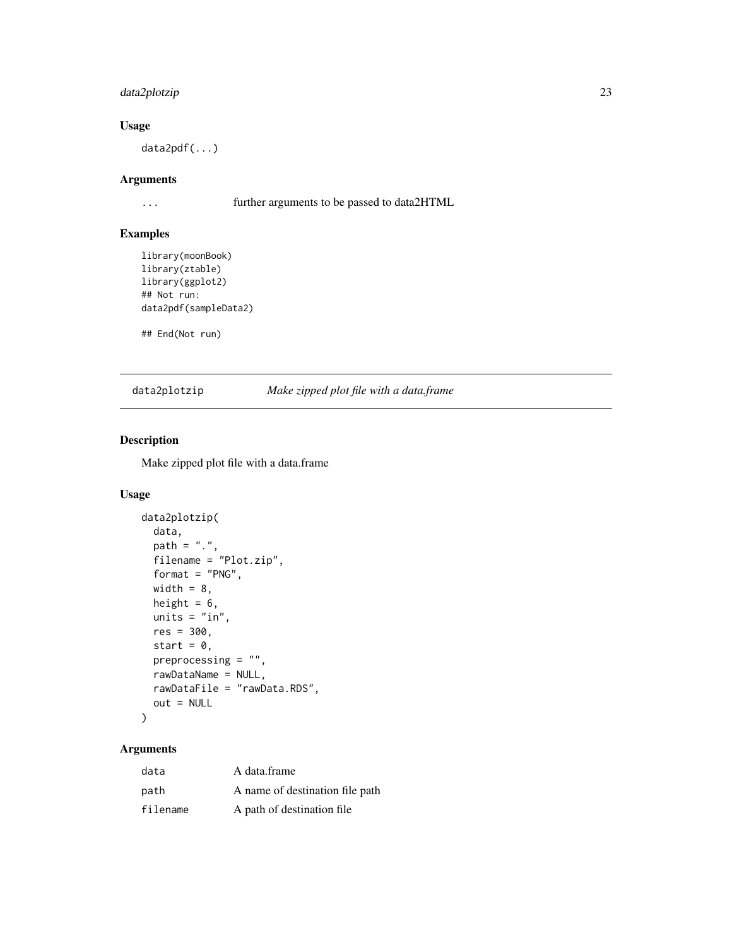# <span id="page-22-0"></span>data2plotzip 23

### Usage

data2pdf(...)

# Arguments

... further arguments to be passed to data2HTML

#### Examples

```
library(moonBook)
library(ztable)
library(ggplot2)
## Not run:
data2pdf(sampleData2)
```
## End(Not run)

#### data2plotzip *Make zipped plot file with a data.frame*

# Description

Make zipped plot file with a data.frame

# Usage

```
data2plotzip(
  data,
 path = ".'',filename = "Plot.zip",
  format = "PNG",
 width = 8,
 height = 6,
 units = "in",res = 300,
  start = \theta,
 preprocessing = "",
 rawDataName = NULL,
  rawDataFile = "rawData.RDS",
 out = NULL
\mathcal{L}
```

| data     | A data frame                    |
|----------|---------------------------------|
| path     | A name of destination file path |
| filename | A path of destination file.     |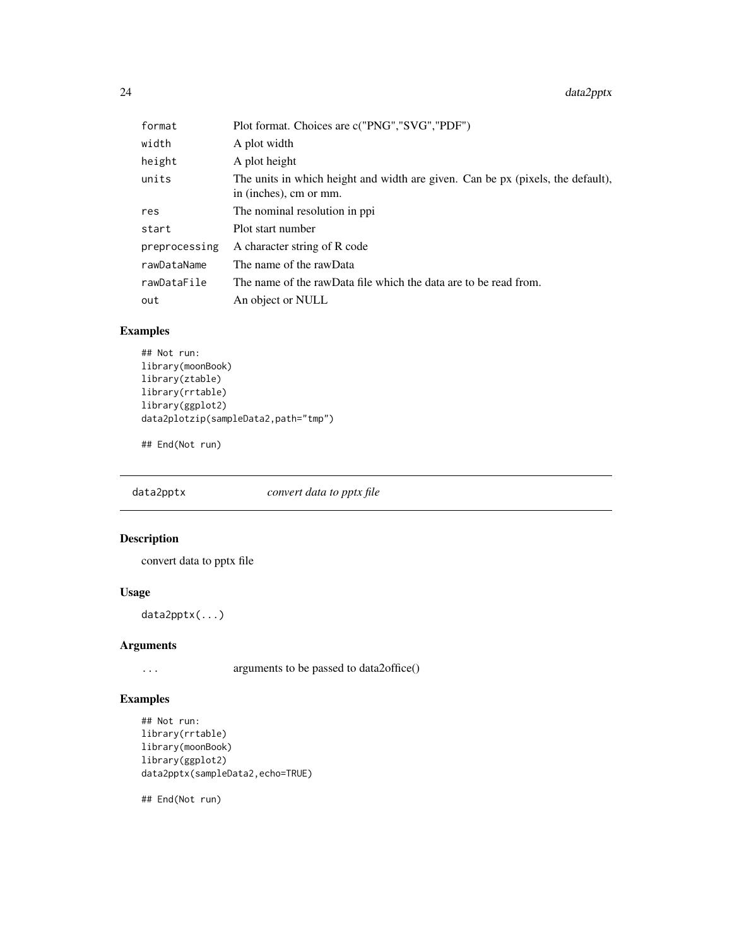<span id="page-23-0"></span> $24$  data2pptx

| format        | Plot format. Choices are c("PNG","SVG","PDF")                                                             |
|---------------|-----------------------------------------------------------------------------------------------------------|
| width         | A plot width                                                                                              |
| height        | A plot height                                                                                             |
| units         | The units in which height and width are given. Can be px (pixels, the default),<br>in (inches), cm or mm. |
| res           | The nominal resolution in ppi                                                                             |
| start         | Plot start number                                                                                         |
| preprocessing | A character string of R code                                                                              |
| rawDataName   | The name of the rawData                                                                                   |
| rawDataFile   | The name of the rawData file which the data are to be read from.                                          |
| out           | An object or NULL                                                                                         |

# Examples

```
## Not run:
library(moonBook)
library(ztable)
library(rrtable)
library(ggplot2)
data2plotzip(sampleData2,path="tmp")
```
## End(Not run)

data2pptx *convert data to pptx file*

# Description

convert data to pptx file

# Usage

data2pptx(...)

# Arguments

... arguments to be passed to data2office()

# Examples

```
## Not run:
library(rrtable)
library(moonBook)
library(ggplot2)
data2pptx(sampleData2,echo=TRUE)
```
## End(Not run)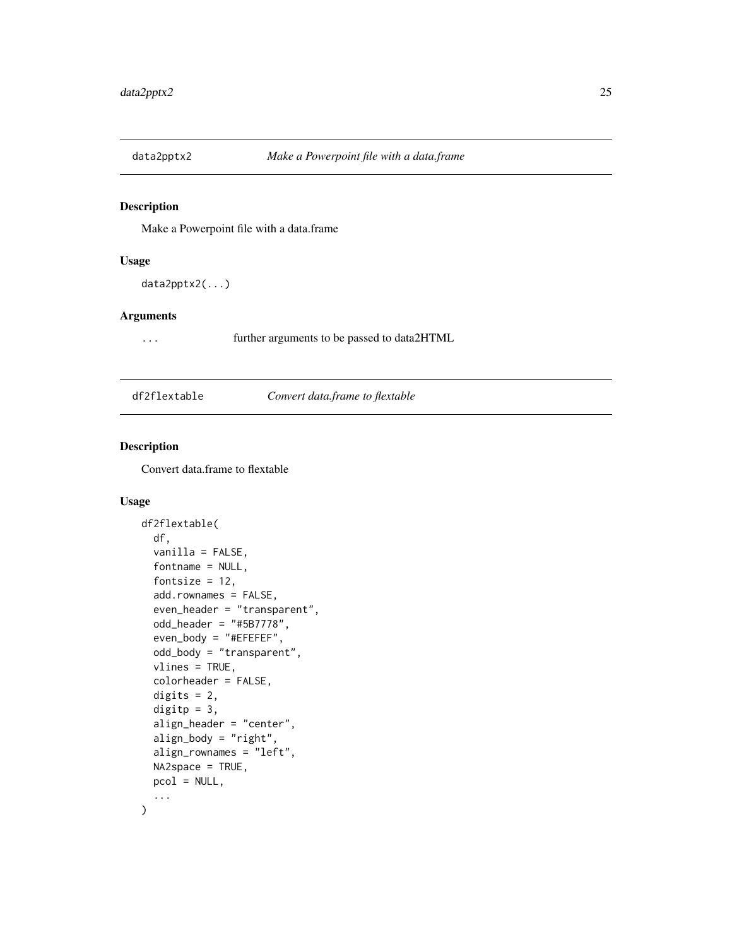<span id="page-24-0"></span>

Make a Powerpoint file with a data.frame

# Usage

```
data2pptx2(...)
```
#### Arguments

... further arguments to be passed to data2HTML

df2flextable *Convert data.frame to flextable*

# **Description**

Convert data.frame to flextable

```
df2flextable(
  df,
  vanilla = FALSE,
  fontname = NULL,
  fontsize = 12,
  add.rownames = FALSE,
  even_header = "transparent",
  odd_header = "#5B7778",
  even_body = "#EFEFEF",
  odd_body = "transparent",
  vlines = TRUE,
  colorheader = FALSE,
  digits = 2,
  digitp = 3,
  align_header = "center",
 align_body = "right",
  align_rownames = "left",
 NA2space = TRUE,
 pcol = NULL,
  ...
\mathcal{E}
```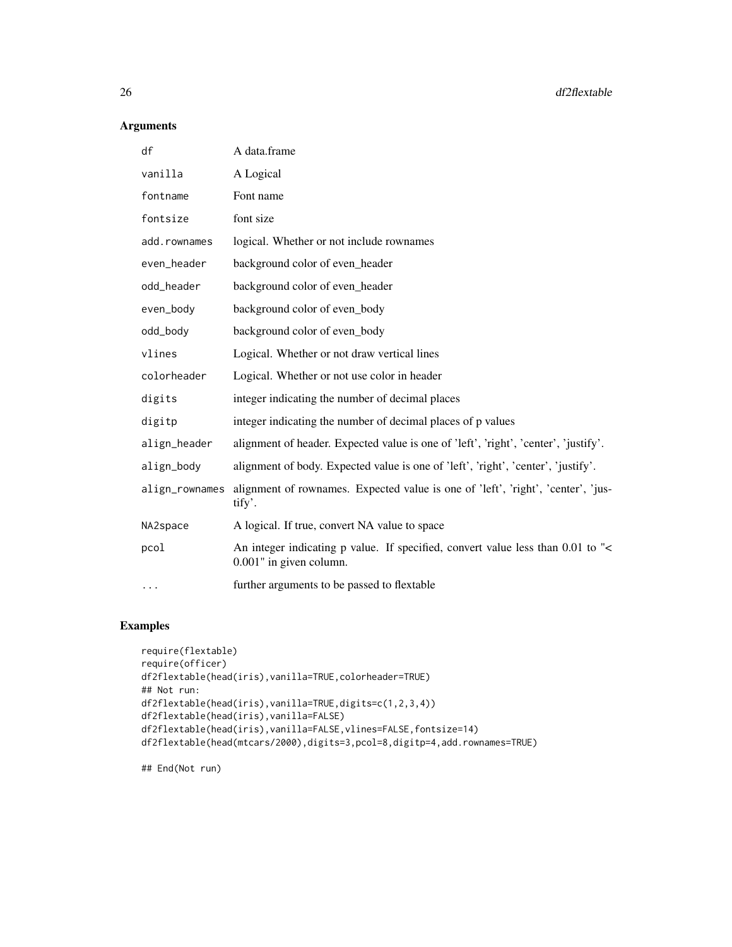# Arguments

| df             | A data.frame                                                                                               |
|----------------|------------------------------------------------------------------------------------------------------------|
| vanilla        | A Logical                                                                                                  |
| fontname       | Font name                                                                                                  |
| fontsize       | font size                                                                                                  |
| add.rownames   | logical. Whether or not include rownames                                                                   |
| even_header    | background color of even_header                                                                            |
| odd_header     | background color of even_header                                                                            |
| even_body      | background color of even_body                                                                              |
| odd_body       | background color of even_body                                                                              |
| vlines         | Logical. Whether or not draw vertical lines                                                                |
| colorheader    | Logical. Whether or not use color in header                                                                |
| digits         | integer indicating the number of decimal places                                                            |
| digitp         | integer indicating the number of decimal places of p values                                                |
| align_header   | alignment of header. Expected value is one of 'left', 'right', 'center', 'justify'.                        |
| align_body     | alignment of body. Expected value is one of 'left', 'right', 'center', 'justify'.                          |
| align_rownames | alignment of rownames. Expected value is one of 'left', 'right', 'center', 'jus-<br>tify'.                 |
| NA2space       | A logical. If true, convert NA value to space                                                              |
| pcol           | An integer indicating p value. If specified, convert value less than 0.01 to "<<br>0.001" in given column. |
| $\cdots$       | further arguments to be passed to flextable                                                                |

# Examples

```
require(flextable)
require(officer)
df2flextable(head(iris),vanilla=TRUE,colorheader=TRUE)
## Not run:
df2flextable(head(iris),vanilla=TRUE,digits=c(1,2,3,4))
df2flextable(head(iris),vanilla=FALSE)
df2flextable(head(iris),vanilla=FALSE,vlines=FALSE,fontsize=14)
df2flextable(head(mtcars/2000),digits=3,pcol=8,digitp=4,add.rownames=TRUE)
```
## End(Not run)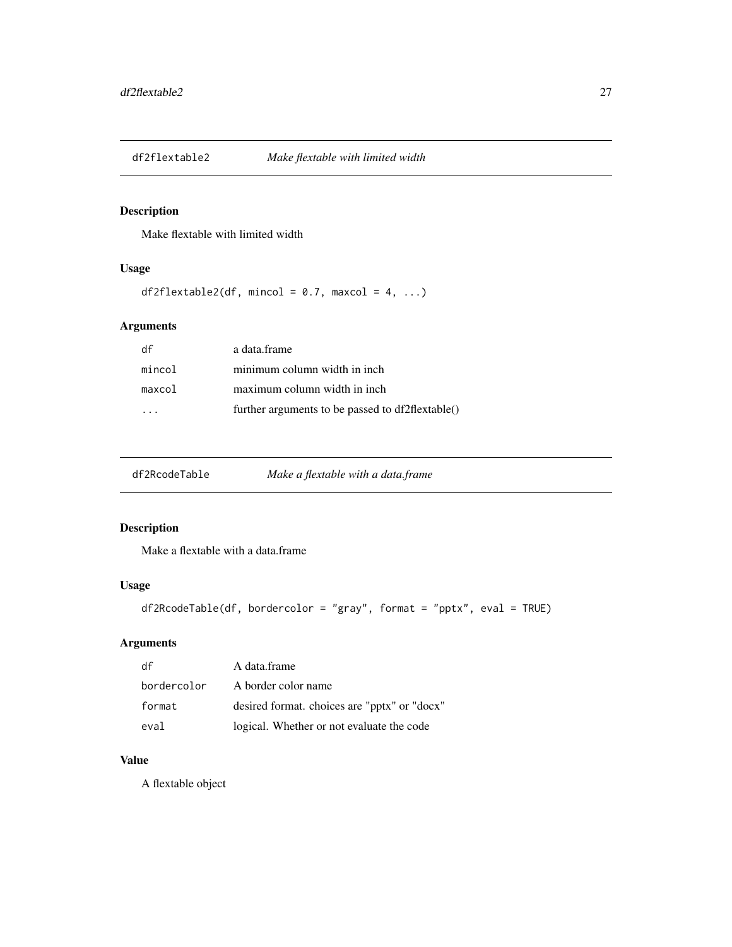<span id="page-26-0"></span>

Make flextable with limited width

# Usage

df2flextable2(df, mincol =  $0.7$ , maxcol =  $4$ , ...)

# Arguments

| df     | a data.frame                                     |
|--------|--------------------------------------------------|
| mincol | minimum column width in inch                     |
| maxcol | maximum column width in inch                     |
|        | further arguments to be passed to df2flextable() |

| df2RcodeTable<br>Make a flextable with a data.frame |  |
|-----------------------------------------------------|--|
|-----------------------------------------------------|--|

# Description

Make a flextable with a data.frame

# Usage

```
df2RcodeTable(df, bordercolor = "gray", format = "pptx", eval = TRUE)
```
# Arguments

| df          | A data.frame                                 |
|-------------|----------------------------------------------|
| bordercolor | A border color name                          |
| format      | desired format. choices are "pptx" or "docx" |
| eval        | logical. Whether or not evaluate the code    |

# Value

A flextable object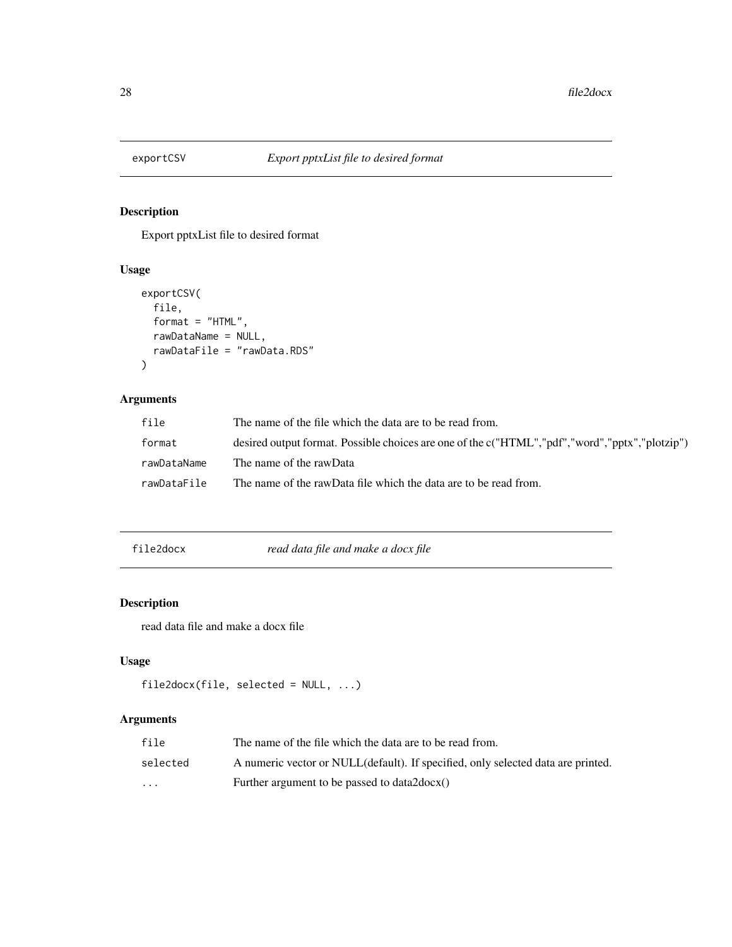<span id="page-27-0"></span>

Export pptxList file to desired format

# Usage

```
exportCSV(
  file,
  format = "HTML",rawDataName = NULL,
  rawDataFile = "rawData.RDS"
\mathcal{E}
```
# Arguments

| file        | The name of the file which the data are to be read from.                                       |
|-------------|------------------------------------------------------------------------------------------------|
| format      | desired output format. Possible choices are one of the c("HTML","pdf","word","pptx","plotzip") |
| rawDataName | The name of the rawData                                                                        |
| rawDataFile | The name of the rawData file which the data are to be read from.                               |

file2docx *read data file and make a docx file*

# Description

read data file and make a docx file

# Usage

```
file2docx(file, selected = NULL, ...)
```

| file                    | The name of the file which the data are to be read from.                         |
|-------------------------|----------------------------------------------------------------------------------|
| selected                | A numeric vector or NULL(default). If specified, only selected data are printed. |
| $\cdot$ $\cdot$ $\cdot$ | Further argument to be passed to data2 $docx()$                                  |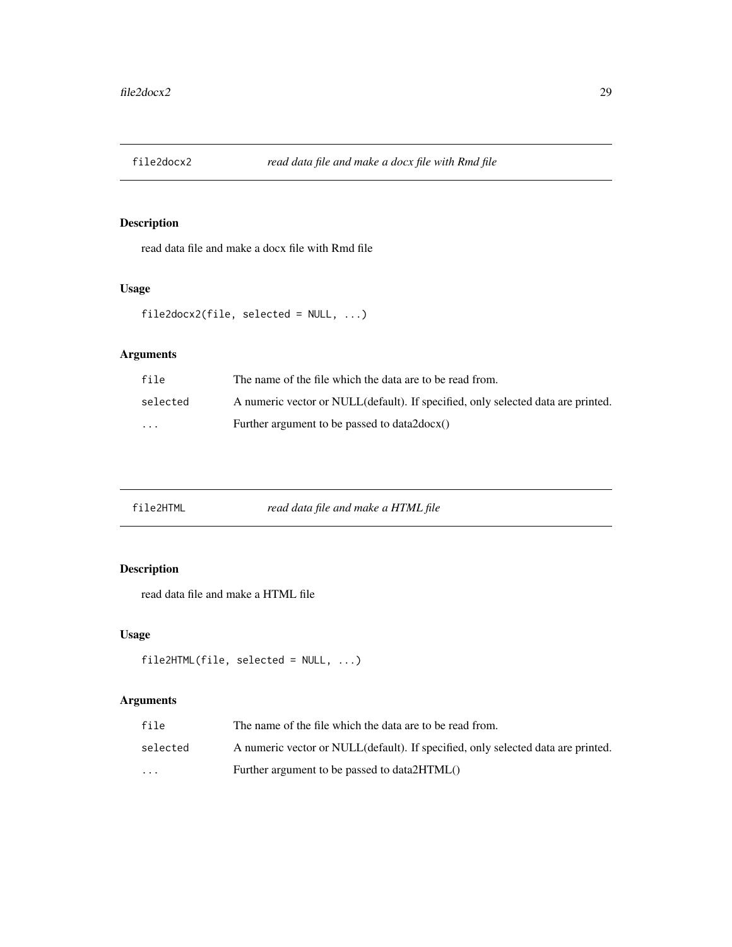<span id="page-28-0"></span>

read data file and make a docx file with Rmd file

# Usage

```
file2docx2(file, selected = NULL, ...)
```
# Arguments

| file     | The name of the file which the data are to be read from.                         |
|----------|----------------------------------------------------------------------------------|
| selected | A numeric vector or NULL(default). If specified, only selected data are printed. |
| $\cdots$ | Further argument to be passed to data2docx()                                     |

# Description

read data file and make a HTML file

# Usage

```
file2HTML(file, selected = NULL, ...)
```

| file                    | The name of the file which the data are to be read from.                         |
|-------------------------|----------------------------------------------------------------------------------|
| selected                | A numeric vector or NULL(default). If specified, only selected data are printed. |
| $\cdot$ $\cdot$ $\cdot$ | Further argument to be passed to data 2HTML()                                    |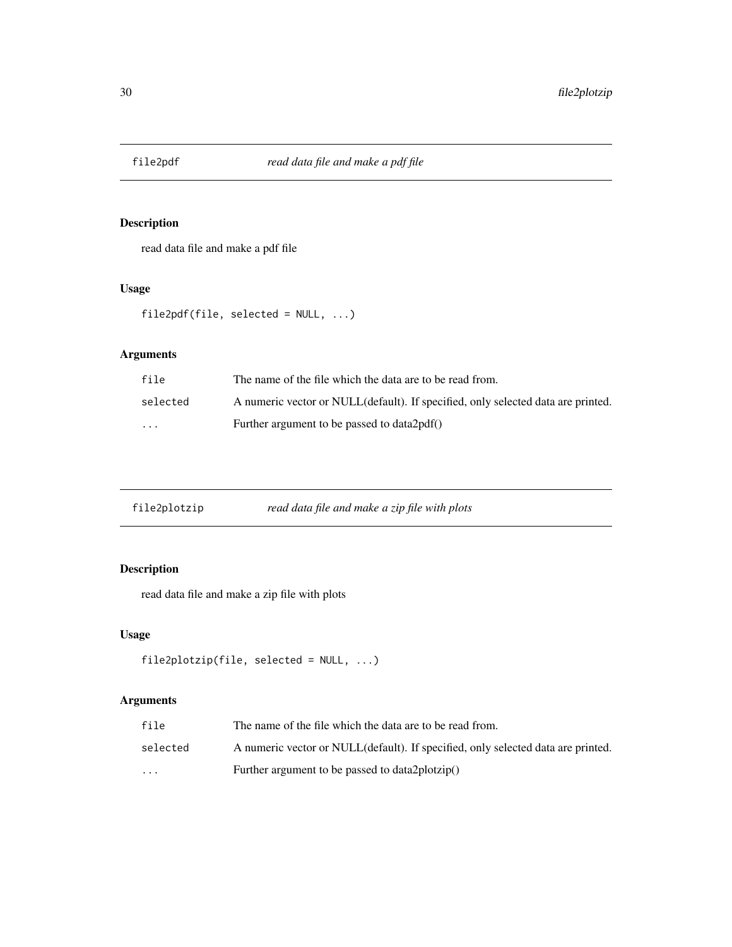<span id="page-29-0"></span>

read data file and make a pdf file

# Usage

file2pdf(file, selected = NULL, ...)

# Arguments

| file     | The name of the file which the data are to be read from.                         |
|----------|----------------------------------------------------------------------------------|
| selected | A numeric vector or NULL(default). If specified, only selected data are printed. |
| $\cdots$ | Further argument to be passed to data 2pdf()                                     |

| file2plotzip | read data file and make a zip file with plots |  |
|--------------|-----------------------------------------------|--|
|              |                                               |  |

# Description

read data file and make a zip file with plots

# Usage

```
file2plotzip(file, selected = NULL, ...)
```

| file                    | The name of the file which the data are to be read from.                         |
|-------------------------|----------------------------------------------------------------------------------|
| selected                | A numeric vector or NULL(default). If specified, only selected data are printed. |
| $\cdot$ $\cdot$ $\cdot$ | Further argument to be passed to data2plotzip()                                  |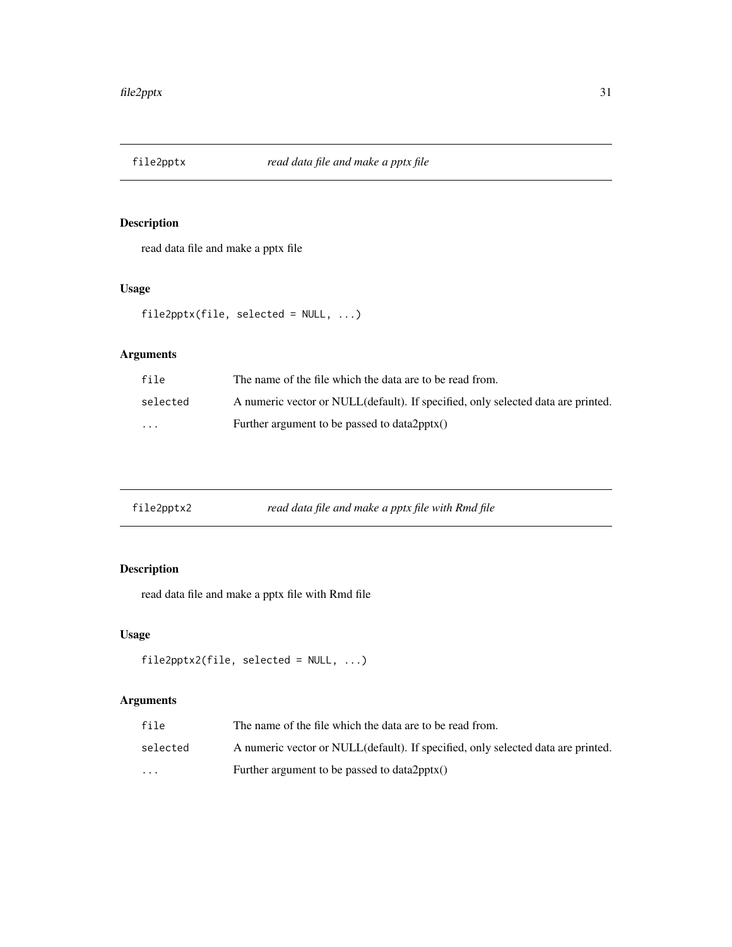<span id="page-30-0"></span>

read data file and make a pptx file

# Usage

file2pptx(file, selected = NULL, ...)

# Arguments

| file     | The name of the file which the data are to be read from.                         |
|----------|----------------------------------------------------------------------------------|
| selected | A numeric vector or NULL(default). If specified, only selected data are printed. |
| $\cdots$ | Further argument to be passed to $data2$ pptx $()$                               |

| file2pptx2 | read data file and make a pptx file with Rmd file |  |
|------------|---------------------------------------------------|--|
|------------|---------------------------------------------------|--|

# Description

read data file and make a pptx file with Rmd file

# Usage

```
file2pptx2(file, selected = NULL, ...)
```

| file                 | The name of the file which the data are to be read from.                         |
|----------------------|----------------------------------------------------------------------------------|
| selected             | A numeric vector or NULL(default). If specified, only selected data are printed. |
| $\ddot{\phantom{0}}$ | Further argument to be passed to $data2$ pptx $()$                               |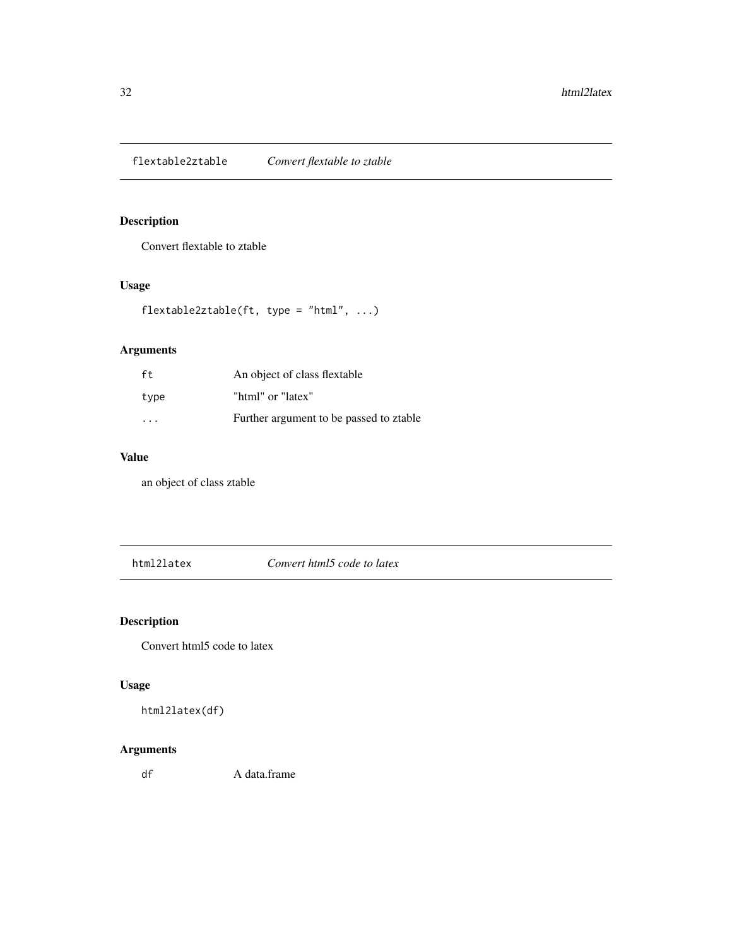<span id="page-31-0"></span>flextable2ztable *Convert flextable to ztable*

# Description

Convert flextable to ztable

# Usage

```
flextable2ztable(ft, type = "html", ...)
```
# Arguments

| ft                      | An object of class flextable            |
|-------------------------|-----------------------------------------|
| type                    | "html" or "latex"                       |
| $\cdot$ $\cdot$ $\cdot$ | Further argument to be passed to ztable |

# Value

an object of class ztable

html2latex *Convert html5 code to latex*

# Description

Convert html5 code to latex

# Usage

html2latex(df)

# Arguments

df A data.frame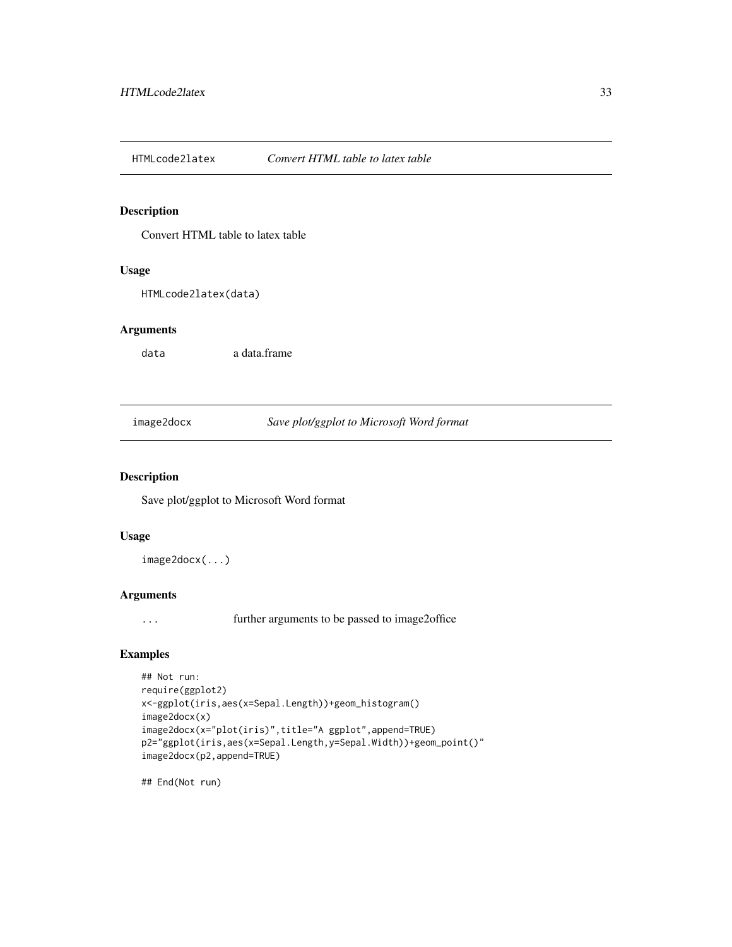<span id="page-32-0"></span>HTMLcode2latex *Convert HTML table to latex table*

### Description

Convert HTML table to latex table

### Usage

HTMLcode2latex(data)

#### Arguments

data a data.frame

image2docx *Save plot/ggplot to Microsoft Word format*

#### Description

Save plot/ggplot to Microsoft Word format

#### Usage

image2docx(...)

# Arguments

... further arguments to be passed to image2office

# Examples

```
## Not run:
require(ggplot2)
x<-ggplot(iris,aes(x=Sepal.Length))+geom_histogram()
image2docx(x)
image2docx(x="plot(iris)",title="A ggplot",append=TRUE)
p2="ggplot(iris,aes(x=Sepal.Length,y=Sepal.Width))+geom_point()"
image2docx(p2,append=TRUE)
```
## End(Not run)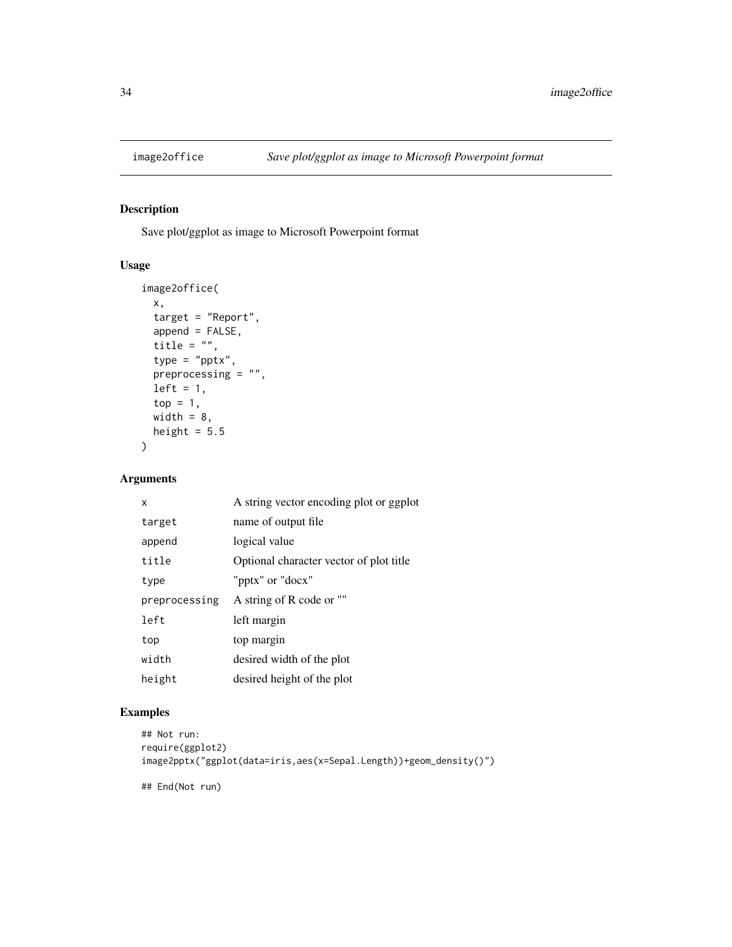<span id="page-33-0"></span>

Save plot/ggplot as image to Microsoft Powerpoint format

# Usage

```
image2office(
 x,
 target = "Report",
 append = FALSE,
 title = ",
  type = "pptx",
 preprocessing = "",
 left = 1,top = 1,
 width = 8,
 height = 5.5\mathcal{L}
```
# Arguments

| x             | A string vector encoding plot or ggplot |
|---------------|-----------------------------------------|
| target        | name of output file.                    |
| append        | logical value                           |
| title         | Optional character vector of plot title |
| type          | "pptx" or "docx"                        |
| preprocessing | A string of R code or ""                |
| left          | left margin                             |
| top           | top margin                              |
| width         | desired width of the plot               |
| height        | desired height of the plot              |

### Examples

```
## Not run:
require(ggplot2)
image2pptx("ggplot(data=iris,aes(x=Sepal.Length))+geom_density()")
## End(Not run)
```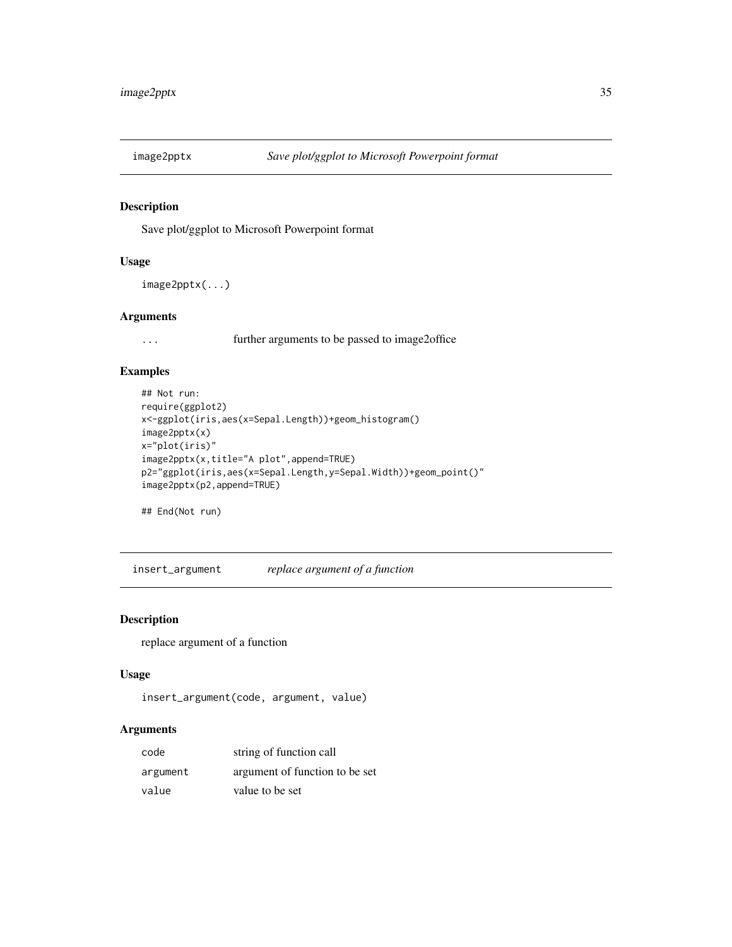<span id="page-34-0"></span>

Save plot/ggplot to Microsoft Powerpoint format

### Usage

```
image2pptx(...)
```
# Arguments

... further arguments to be passed to image2office

#### Examples

```
## Not run:
require(ggplot2)
x<-ggplot(iris,aes(x=Sepal.Length))+geom_histogram()
image2pptx(x)
x="plot(iris)"
image2pptx(x,title="A plot",append=TRUE)
p2="ggplot(iris,aes(x=Sepal.Length,y=Sepal.Width))+geom_point()"
image2pptx(p2,append=TRUE)
```
## End(Not run)

insert\_argument *replace argument of a function*

#### Description

replace argument of a function

#### Usage

```
insert_argument(code, argument, value)
```

| code     | string of function call        |
|----------|--------------------------------|
| argument | argument of function to be set |
| value    | value to be set                |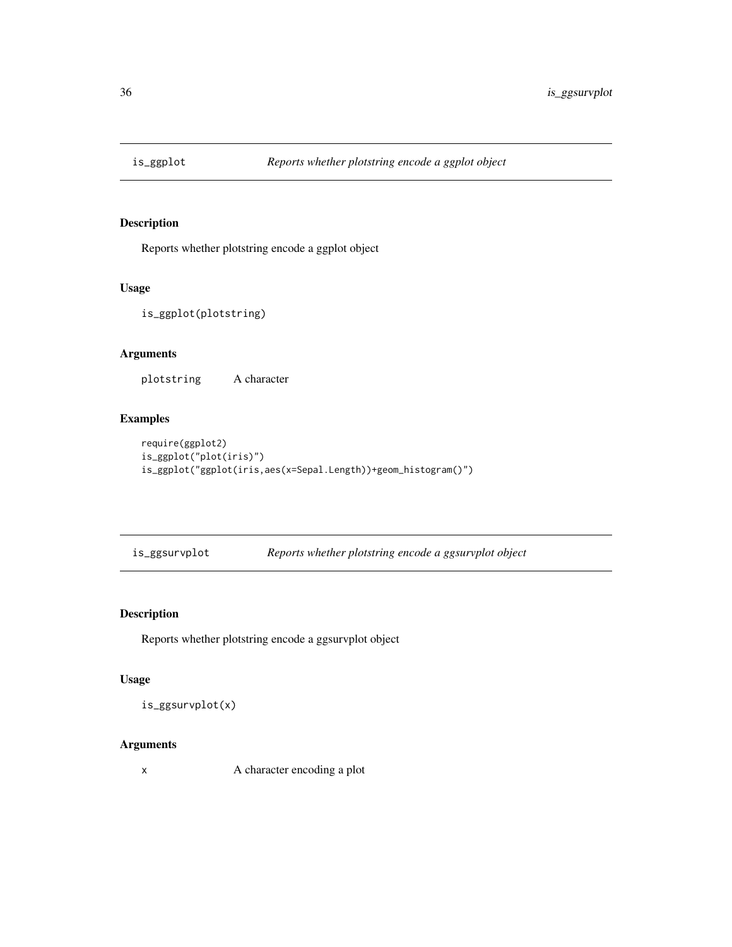<span id="page-35-0"></span>

Reports whether plotstring encode a ggplot object

# Usage

is\_ggplot(plotstring)

# Arguments

plotstring A character

# Examples

```
require(ggplot2)
is_ggplot("plot(iris)")
is_ggplot("ggplot(iris,aes(x=Sepal.Length))+geom_histogram()")
```
is\_ggsurvplot *Reports whether plotstring encode a ggsurvplot object*

# Description

Reports whether plotstring encode a ggsurvplot object

#### Usage

is\_ggsurvplot(x)

# Arguments

x A character encoding a plot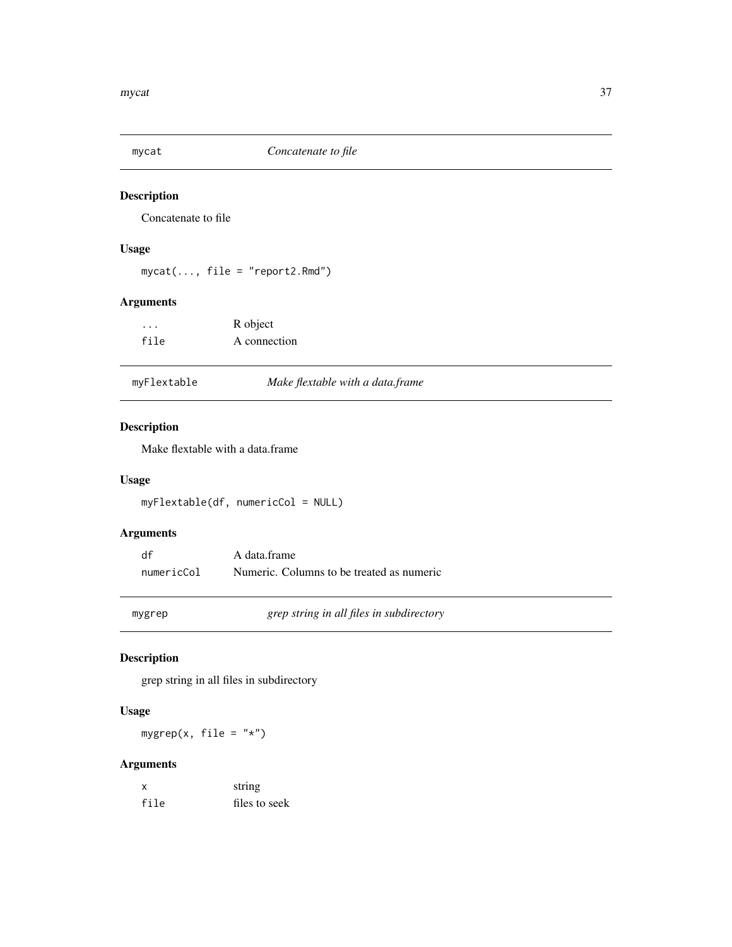<span id="page-36-0"></span>

Concatenate to file

# Usage

mycat(..., file = "report2.Rmd")

# Arguments

| $\cdots$ | R object     |
|----------|--------------|
| file     | A connection |

|  | myFlextable |  |
|--|-------------|--|
|--|-------------|--|

# myFlextable *Make flextable with a data.frame*

# Description

Make flextable with a data.frame

# Usage

myFlextable(df, numericCol = NULL)

# Arguments

| df         | A data frame                              |
|------------|-------------------------------------------|
| numericCol | Numeric. Columns to be treated as numeric |

mygrep *grep string in all files in subdirectory*

# Description

grep string in all files in subdirectory

# Usage

mygrep(x, file =  $"*")$ 

| x    | string        |
|------|---------------|
| file | files to seek |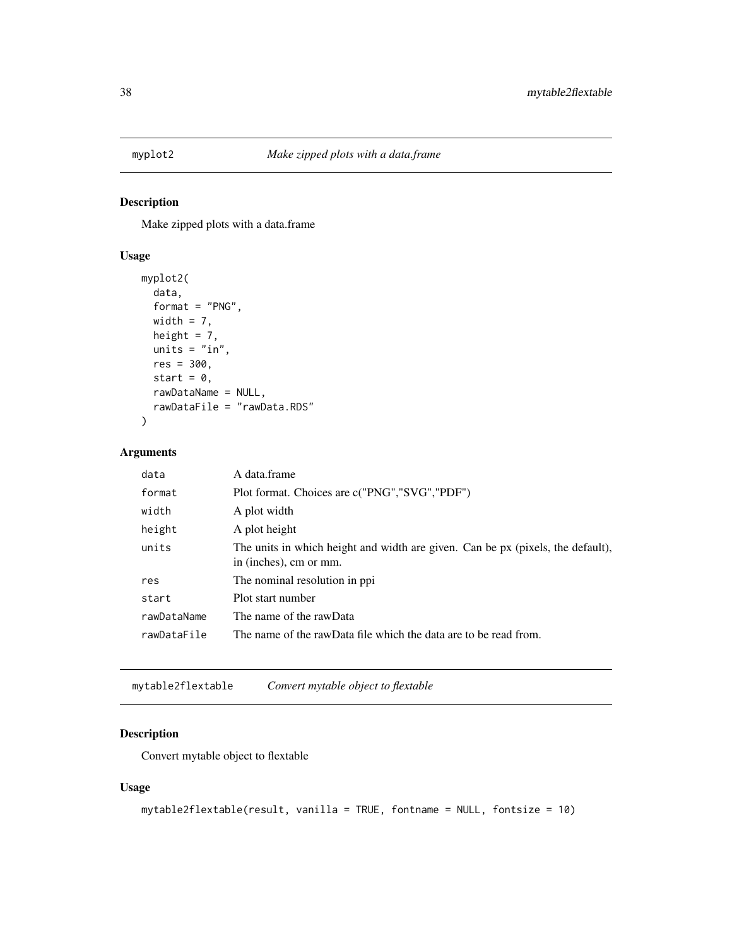<span id="page-37-0"></span>

Make zipped plots with a data.frame

# Usage

```
myplot2(
 data,
  format = "PNG",
 width = 7,
 height = 7,units = "in",res = 300,
  start = 0,
 rawDataName = NULL,
  rawDataFile = "rawData.RDS"
)
```
# Arguments

| data        | A data.frame                                                                                              |
|-------------|-----------------------------------------------------------------------------------------------------------|
| format      | Plot format. Choices are c("PNG","SVG","PDF")                                                             |
| width       | A plot width                                                                                              |
| height      | A plot height                                                                                             |
| units       | The units in which height and width are given. Can be px (pixels, the default),<br>in (inches), cm or mm. |
| res         | The nominal resolution in ppi                                                                             |
| start       | Plot start number                                                                                         |
| rawDataName | The name of the rawData                                                                                   |
| rawDataFile | The name of the rawData file which the data are to be read from.                                          |
|             |                                                                                                           |

mytable2flextable *Convert mytable object to flextable*

# Description

Convert mytable object to flextable

```
mytable2flextable(result, vanilla = TRUE, fontname = NULL, fontsize = 10)
```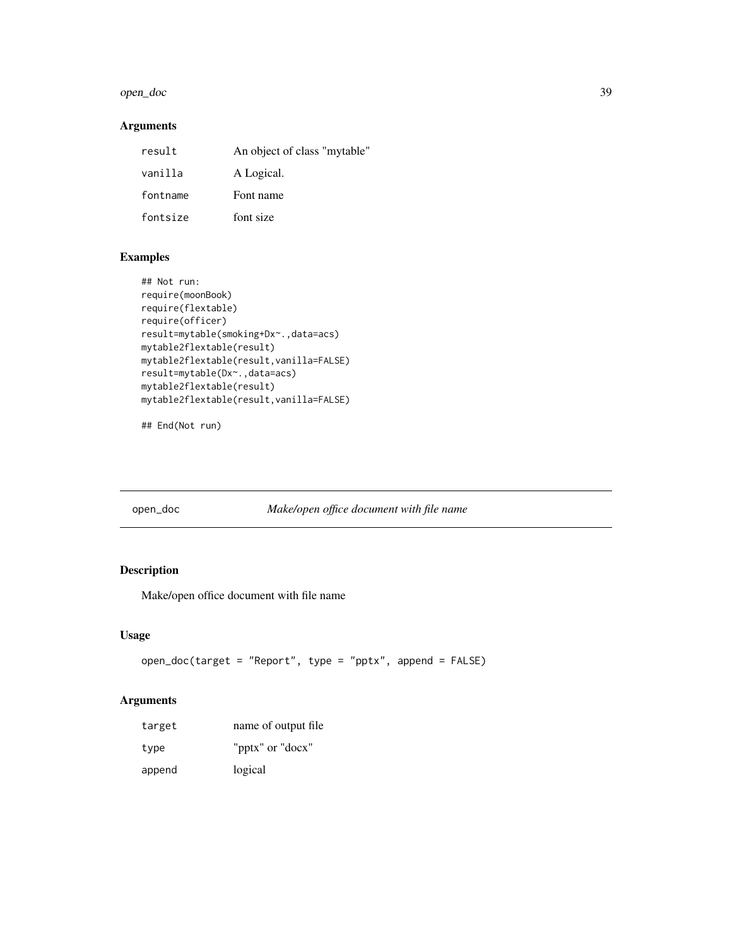#### <span id="page-38-0"></span>open\_doc 39

# Arguments

| result   | An object of class "mytable" |
|----------|------------------------------|
| vanilla  | A Logical.                   |
| fontname | Font name                    |
| fontsize | font size                    |

# Examples

```
## Not run:
require(moonBook)
require(flextable)
require(officer)
result=mytable(smoking+Dx~.,data=acs)
mytable2flextable(result)
mytable2flextable(result,vanilla=FALSE)
result=mytable(Dx~.,data=acs)
mytable2flextable(result)
mytable2flextable(result,vanilla=FALSE)
```
## End(Not run)

# open\_doc *Make/open office document with file name*

# Description

Make/open office document with file name

# Usage

```
open_doc(target = "Report", type = "pptx", append = FALSE)
```

| target | name of output file |
|--------|---------------------|
| type   | "pptx" or "docx"    |
| append | logical             |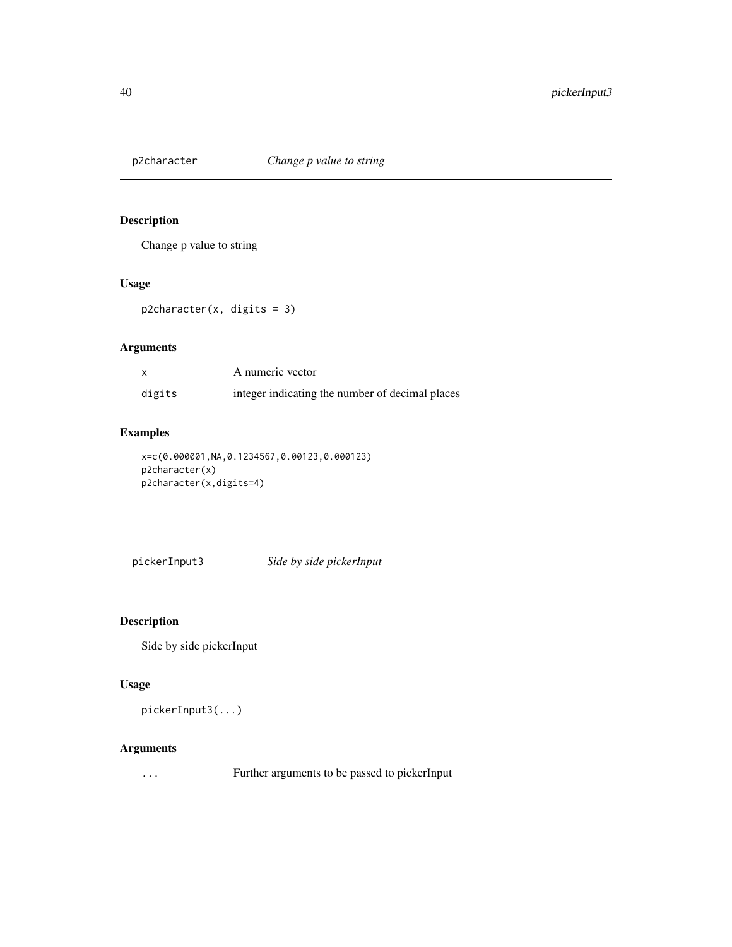<span id="page-39-0"></span>

Change p value to string

### Usage

p2character(x, digits = 3)

# Arguments

| X      | A numeric vector                                |
|--------|-------------------------------------------------|
| digits | integer indicating the number of decimal places |

# Examples

x=c(0.000001,NA,0.1234567,0.00123,0.000123) p2character(x) p2character(x,digits=4)

pickerInput3 *Side by side pickerInput*

# Description

Side by side pickerInput

# Usage

pickerInput3(...)

# Arguments

... Further arguments to be passed to pickerInput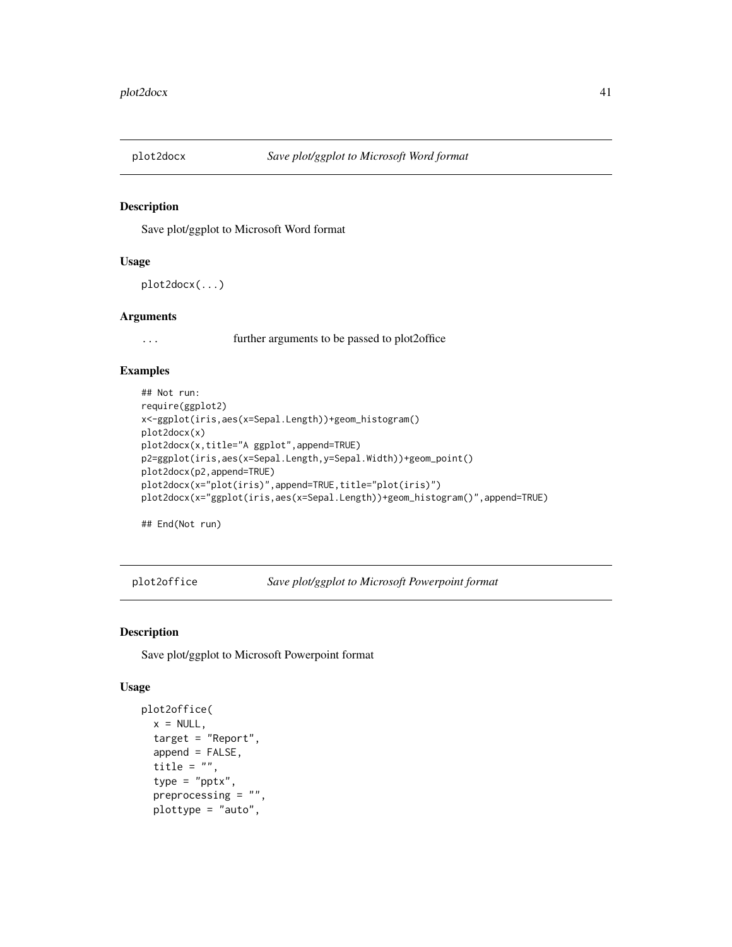<span id="page-40-0"></span>

Save plot/ggplot to Microsoft Word format

#### Usage

```
plot2docx(...)
```
# Arguments

... further arguments to be passed to plot2office

#### Examples

```
## Not run:
require(ggplot2)
x<-ggplot(iris,aes(x=Sepal.Length))+geom_histogram()
plot2docx(x)
plot2docx(x,title="A ggplot",append=TRUE)
p2=ggplot(iris,aes(x=Sepal.Length,y=Sepal.Width))+geom_point()
plot2docx(p2,append=TRUE)
plot2docx(x="plot(iris)",append=TRUE,title="plot(iris)")
plot2docx(x="ggplot(iris,aes(x=Sepal.Length))+geom_histogram()",append=TRUE)
```
## End(Not run)

plot2office *Save plot/ggplot to Microsoft Powerpoint format*

# Description

Save plot/ggplot to Microsoft Powerpoint format

```
plot2office(
 x = NULL,target = "Report".append = FALSE,title = ",
  type = "pptx",
 preprocessing = "",
 plottype = "auto",
```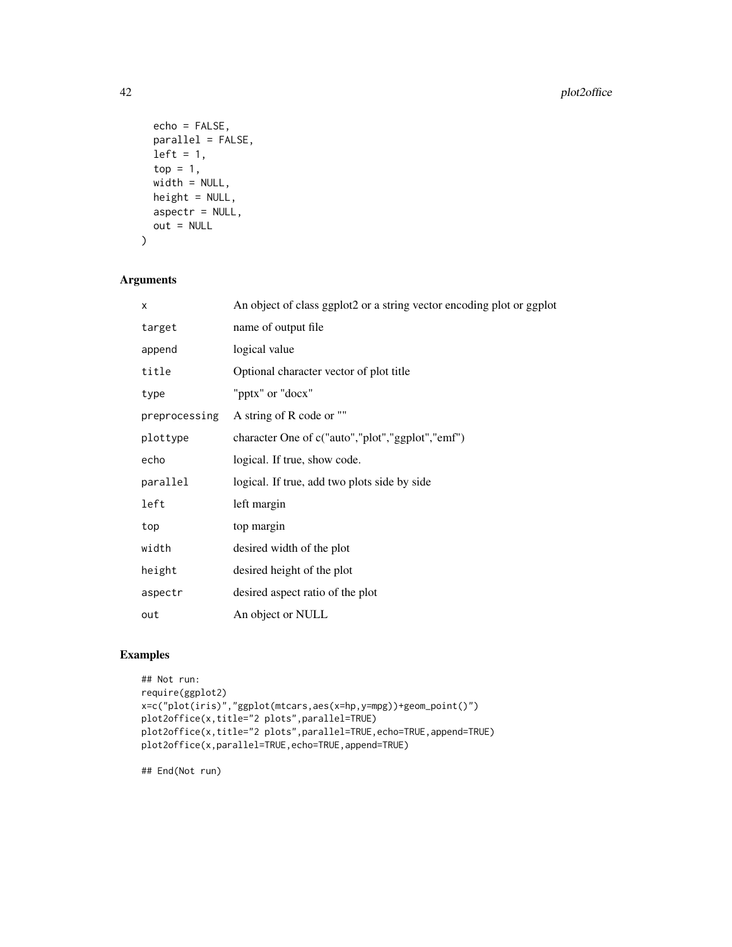```
echo = FALSE,
 parallel = FALSE,
 left = 1,top = 1,
 width = NULL,height = NULL,
 aspectr = NULL,
 out = NULL
)
```
# Arguments

| X             | An object of class ggplot2 or a string vector encoding plot or ggplot |
|---------------|-----------------------------------------------------------------------|
| target        | name of output file                                                   |
| append        | logical value                                                         |
| title         | Optional character vector of plot title                               |
| type          | "pptx" or "docx"                                                      |
| preprocessing | A string of R code or ""                                              |
| plottype      | character One of c("auto","plot","ggplot","emf")                      |
| echo          | logical. If true, show code.                                          |
| parallel      | logical. If true, add two plots side by side                          |
| left          | left margin                                                           |
| top           | top margin                                                            |
| width         | desired width of the plot                                             |
| height        | desired height of the plot                                            |
| aspectr       | desired aspect ratio of the plot                                      |
| out           | An object or NULL                                                     |

# Examples

```
## Not run:
require(ggplot2)
x=c("plot(iris)","ggplot(mtcars,aes(x=hp,y=mpg))+geom_point()")
plot2office(x,title="2 plots",parallel=TRUE)
plot2office(x,title="2 plots",parallel=TRUE,echo=TRUE,append=TRUE)
plot2office(x,parallel=TRUE,echo=TRUE,append=TRUE)
```
## End(Not run)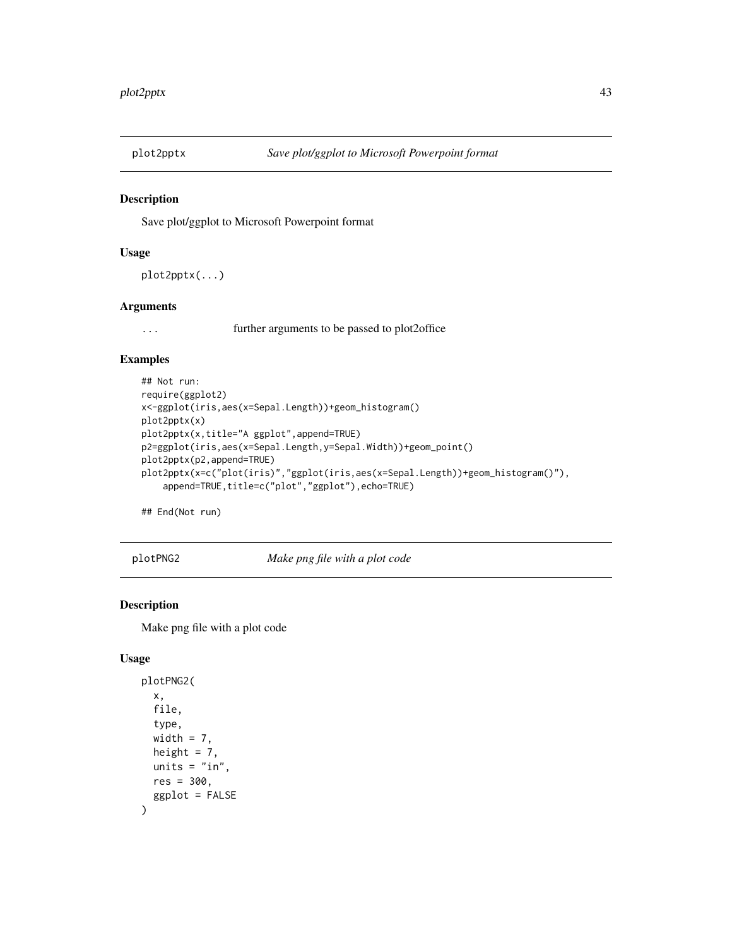<span id="page-42-0"></span>

Save plot/ggplot to Microsoft Powerpoint format

#### Usage

```
plot2pptx(...)
```
#### Arguments

... further arguments to be passed to plot2office

#### Examples

```
## Not run:
require(ggplot2)
x<-ggplot(iris,aes(x=Sepal.Length))+geom_histogram()
plot2pptx(x)
plot2pptx(x,title="A ggplot",append=TRUE)
p2=ggplot(iris,aes(x=Sepal.Length,y=Sepal.Width))+geom_point()
plot2pptx(p2,append=TRUE)
plot2pptx(x=c("plot(iris)","ggplot(iris,aes(x=Sepal.Length))+geom_histogram()"),
    append=TRUE, title=c("plot", "ggplot"), echo=TRUE)
```
## End(Not run)

plotPNG2 *Make png file with a plot code*

# Description

Make png file with a plot code

```
plotPNG2(
  x,
  file,
  type,
  width = 7,
  height = 7,
  units = "in",
  res = 300,ggplot = FALSE
\mathcal{E}
```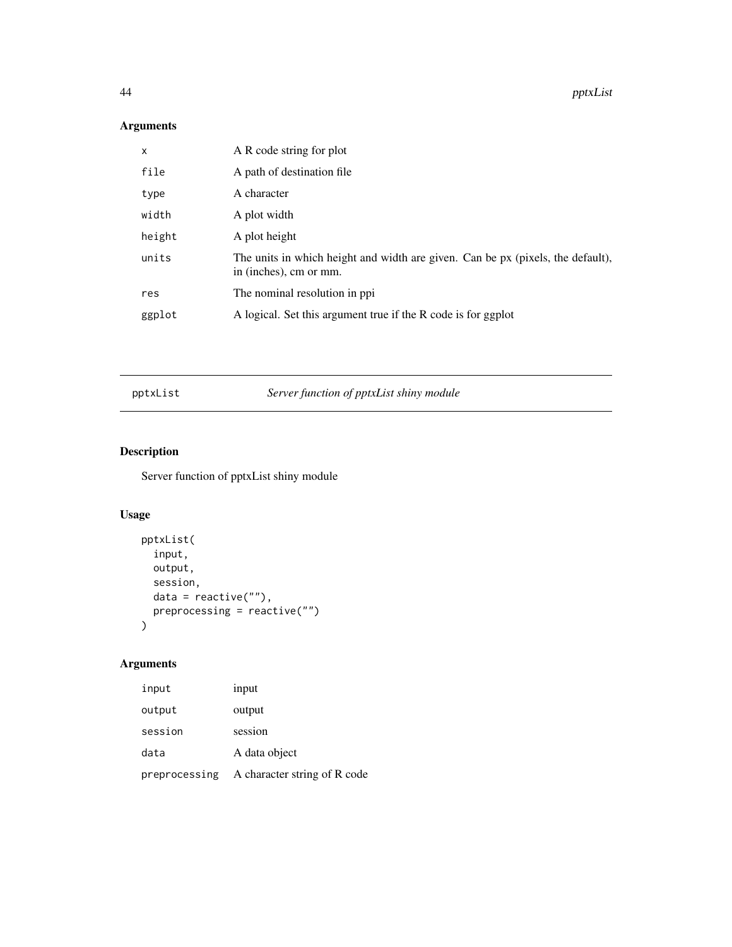<span id="page-43-0"></span>44 pptxList

# Arguments

| x      | A R code string for plot                                                                                  |
|--------|-----------------------------------------------------------------------------------------------------------|
| file   | A path of destination file                                                                                |
| type   | A character                                                                                               |
| width  | A plot width                                                                                              |
| height | A plot height                                                                                             |
| units  | The units in which height and width are given. Can be px (pixels, the default),<br>in (inches), cm or mm. |
| res    | The nominal resolution in ppi                                                                             |
| ggplot | A logical. Set this argument true if the R code is for ggplot                                             |
|        |                                                                                                           |

pptxList *Server function of pptxList shiny module*

# Description

Server function of pptxList shiny module

# Usage

```
pptxList(
  input,
  output,
  session,
  data = reactive(""),
  preprocessing = reactive("")
\mathcal{L}
```

| input         | input                        |
|---------------|------------------------------|
| output        | output                       |
| session       | session                      |
| data          | A data object                |
| preprocessing | A character string of R code |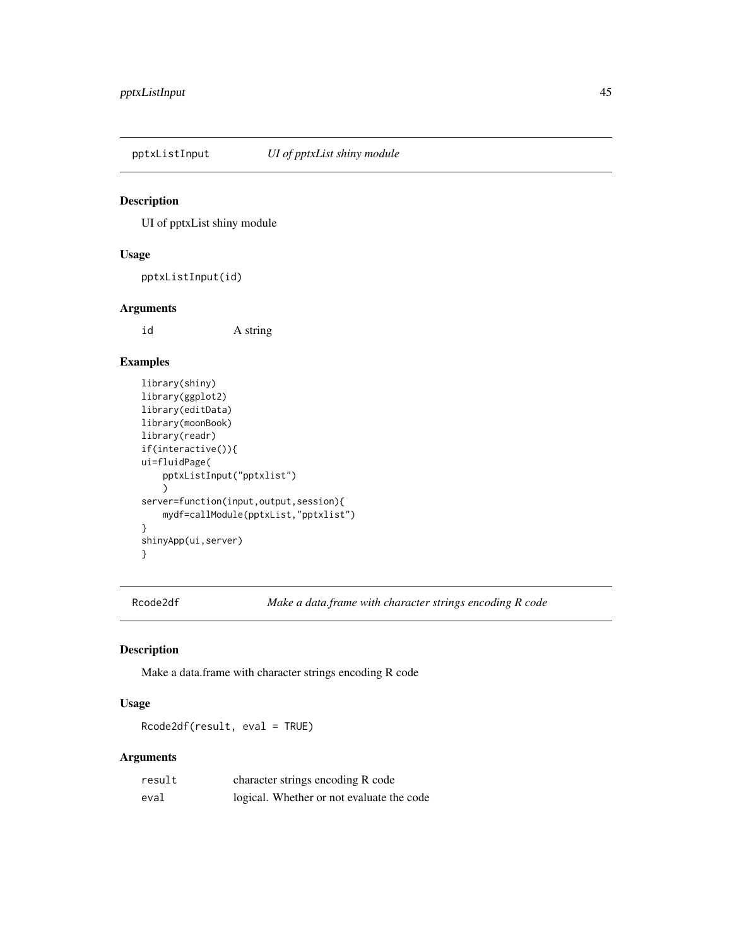<span id="page-44-0"></span>

UI of pptxList shiny module

#### Usage

pptxListInput(id)

### Arguments

id A string

# Examples

```
library(shiny)
library(ggplot2)
library(editData)
library(moonBook)
library(readr)
if(interactive()){
ui=fluidPage(
    pptxListInput("pptxlist")
    )
server=function(input,output,session){
   mydf=callModule(pptxList,"pptxlist")
}
shinyApp(ui,server)
}
```
Rcode2df *Make a data.frame with character strings encoding R code*

### Description

Make a data.frame with character strings encoding R code

# Usage

Rcode2df(result, eval = TRUE)

| result | character strings encoding R code         |
|--------|-------------------------------------------|
| eval   | logical. Whether or not evaluate the code |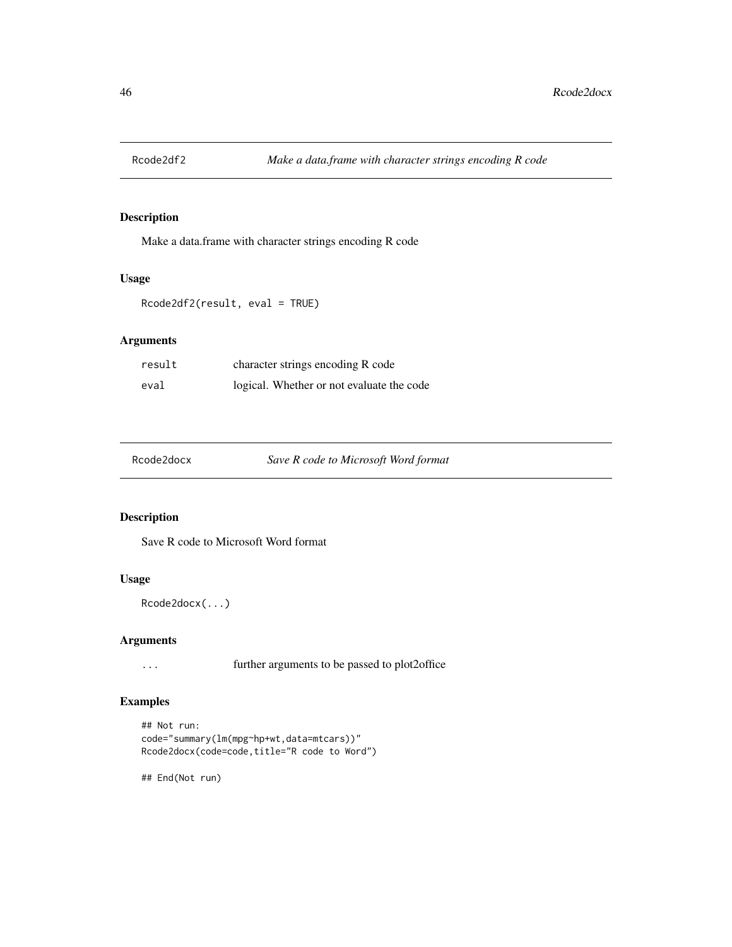<span id="page-45-0"></span>

Make a data.frame with character strings encoding R code

# Usage

```
Rcode2df2(result, eval = TRUE)
```
# Arguments

| result | character strings encoding R code         |
|--------|-------------------------------------------|
| eval   | logical. Whether or not evaluate the code |

| Rcode2docx | Save R code to Microsoft Word format |
|------------|--------------------------------------|
|------------|--------------------------------------|

### Description

Save R code to Microsoft Word format

# Usage

Rcode2docx(...)

#### Arguments

... further arguments to be passed to plot2office

# Examples

```
## Not run:
code="summary(lm(mpg~hp+wt,data=mtcars))"
Rcode2docx(code=code,title="R code to Word")
```
## End(Not run)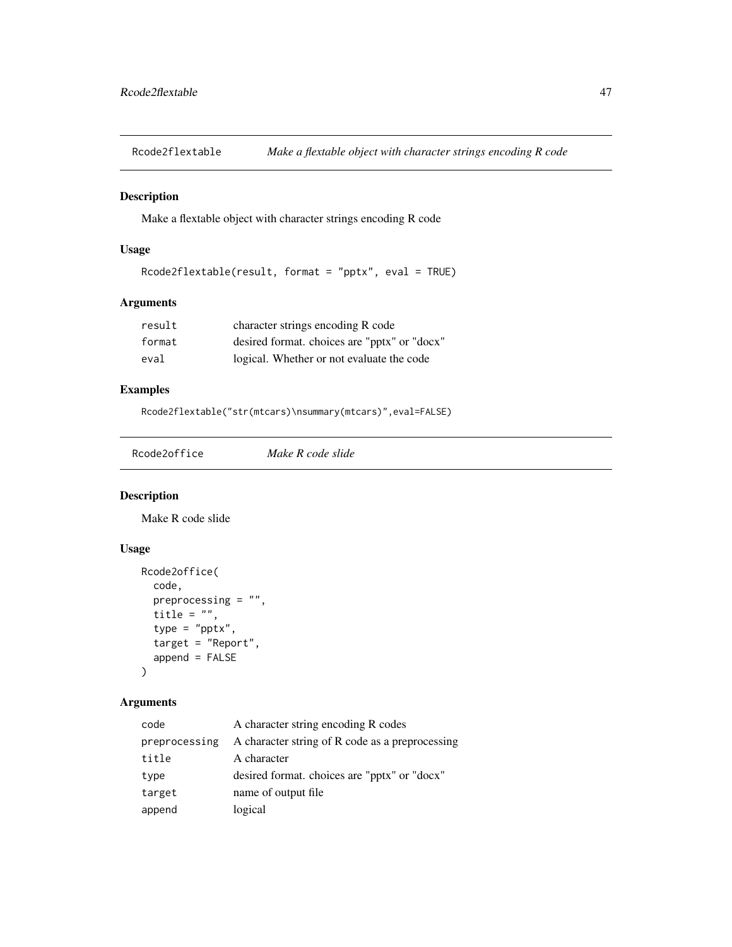<span id="page-46-0"></span>Rcode2flextable *Make a flextable object with character strings encoding R code*

# Description

Make a flextable object with character strings encoding R code

# Usage

```
Rcode2flextable(result, format = "pptx", eval = TRUE)
```
# Arguments

| result | character strings encoding R code            |
|--------|----------------------------------------------|
| format | desired format. choices are "pptx" or "docx" |
| eval   | logical. Whether or not evaluate the code    |

# Examples

Rcode2flextable("str(mtcars)\nsummary(mtcars)",eval=FALSE)

|--|

### Description

Make R code slide

#### Usage

```
Rcode2office(
  code,
  preprocessing = "",
  title = ",
  type = "pptx",
  target = "Report",
  append = FALSE\mathcal{L}
```

| code          | A character string encoding R codes             |
|---------------|-------------------------------------------------|
| preprocessing | A character string of R code as a preprocessing |
| title         | A character                                     |
| type          | desired format, choices are "pptx" or "docx"    |
| target        | name of output file                             |
| append        | logical                                         |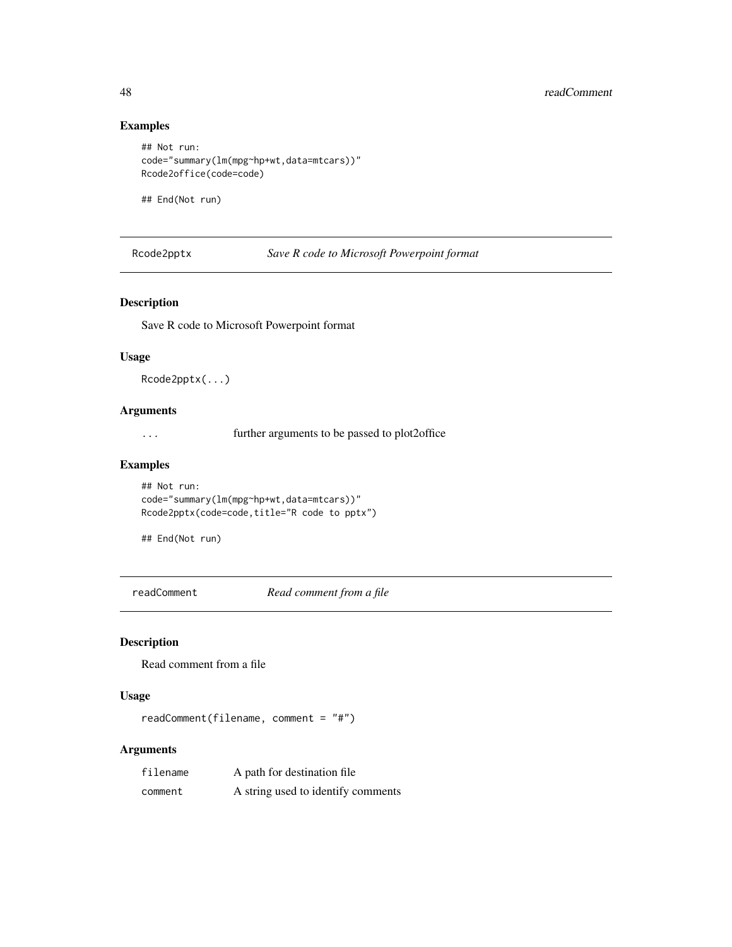# Examples

```
## Not run:
code="summary(lm(mpg~hp+wt,data=mtcars))"
Rcode2office(code=code)
```
## End(Not run)

Rcode2pptx *Save R code to Microsoft Powerpoint format*

### Description

Save R code to Microsoft Powerpoint format

#### Usage

Rcode2pptx(...)

# Arguments

... further arguments to be passed to plot2office

#### Examples

```
## Not run:
code="summary(lm(mpg~hp+wt,data=mtcars))"
Rcode2pptx(code=code,title="R code to pptx")
```
## End(Not run)

readComment *Read comment from a file*

# Description

Read comment from a file

#### Usage

```
readComment(filename, comment = "#")
```

| filename | A path for destination file        |
|----------|------------------------------------|
| comment  | A string used to identify comments |

<span id="page-47-0"></span>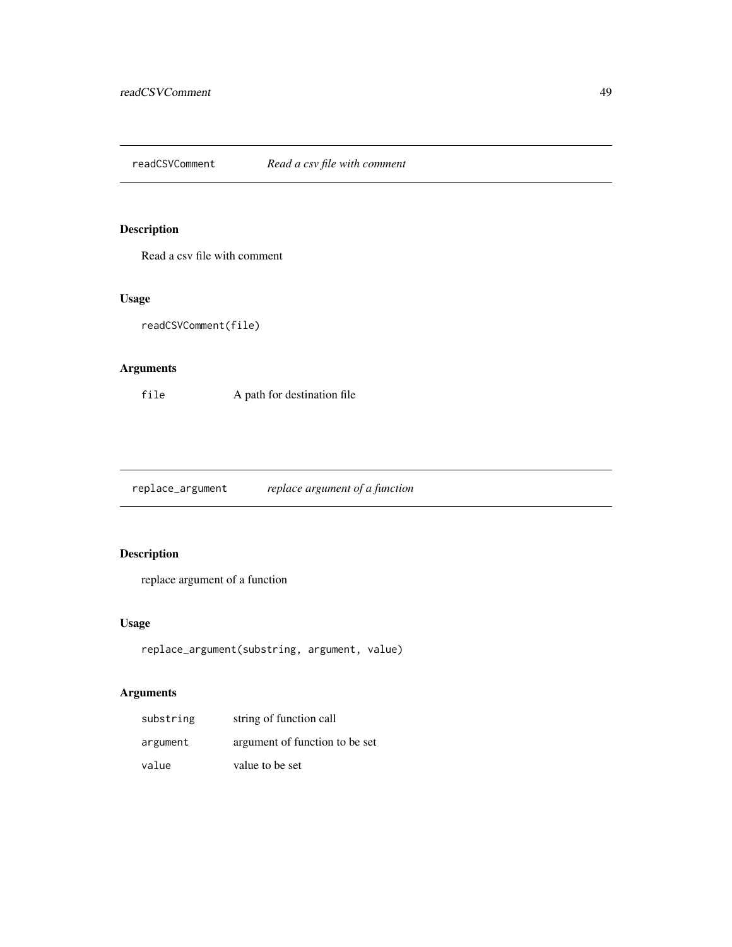<span id="page-48-0"></span>readCSVComment *Read a csv file with comment*

# Description

Read a csv file with comment

#### Usage

```
readCSVComment(file)
```
# Arguments

file A path for destination file

replace\_argument *replace argument of a function*

# Description

replace argument of a function

# Usage

```
replace_argument(substring, argument, value)
```

| substring | string of function call        |
|-----------|--------------------------------|
| argument  | argument of function to be set |
| value     | value to be set                |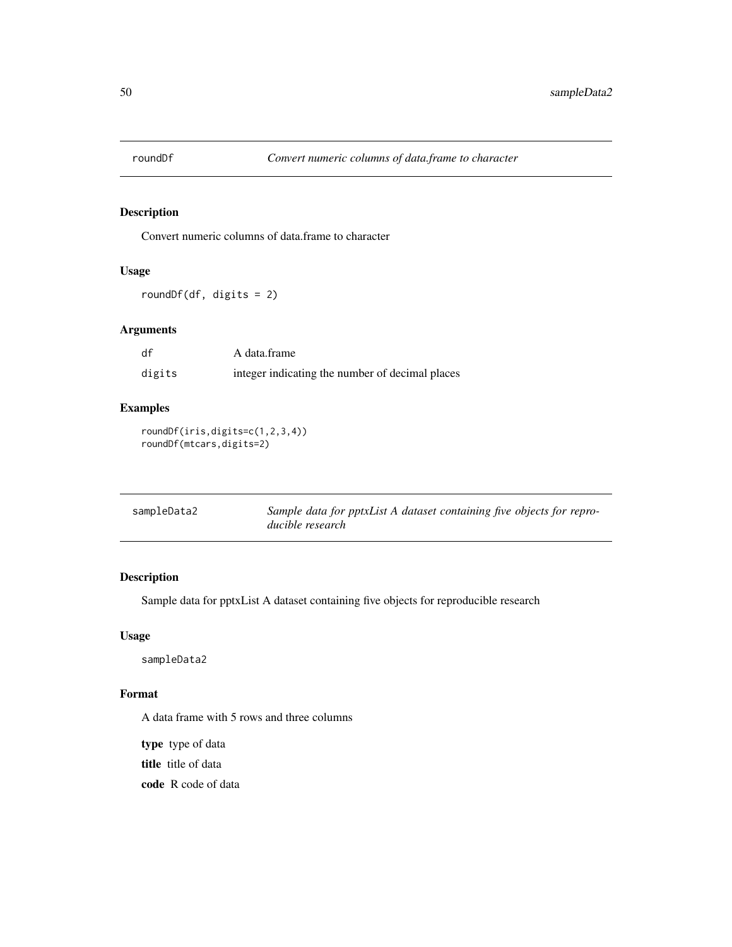<span id="page-49-0"></span>

Convert numeric columns of data.frame to character

#### Usage

roundDf(df, digits = 2)

# Arguments

| df     | A data.frame                                    |
|--------|-------------------------------------------------|
| digits | integer indicating the number of decimal places |

# Examples

roundDf(iris,digits=c(1,2,3,4)) roundDf(mtcars,digits=2)

| sampleData2 | Sample data for pptxList A dataset containing five objects for repro- |
|-------------|-----------------------------------------------------------------------|
|             | ducible research                                                      |

# Description

Sample data for pptxList A dataset containing five objects for reproducible research

# Usage

sampleData2

### Format

A data frame with 5 rows and three columns

type type of data

title title of data

code R code of data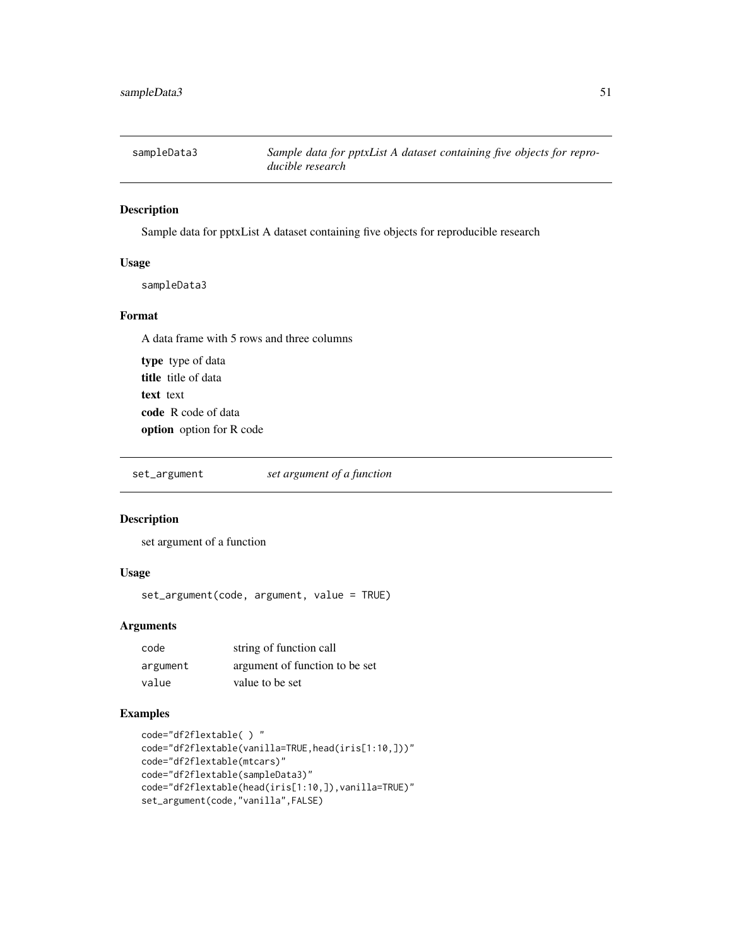<span id="page-50-0"></span>

Sample data for pptxList A dataset containing five objects for reproducible research

# Usage

sampleData3

#### Format

A data frame with 5 rows and three columns

type type of data title title of data text text code R code of data option option for R code

set\_argument *set argument of a function*

# Description

set argument of a function

# Usage

set\_argument(code, argument, value = TRUE)

# Arguments

| code     | string of function call        |
|----------|--------------------------------|
| argument | argument of function to be set |
| value    | value to be set                |

# Examples

```
code="df2flextable( ) "
code="df2flextable(vanilla=TRUE,head(iris[1:10,]))"
code="df2flextable(mtcars)"
code="df2flextable(sampleData3)"
code="df2flextable(head(iris[1:10,]),vanilla=TRUE)"
set_argument(code,"vanilla",FALSE)
```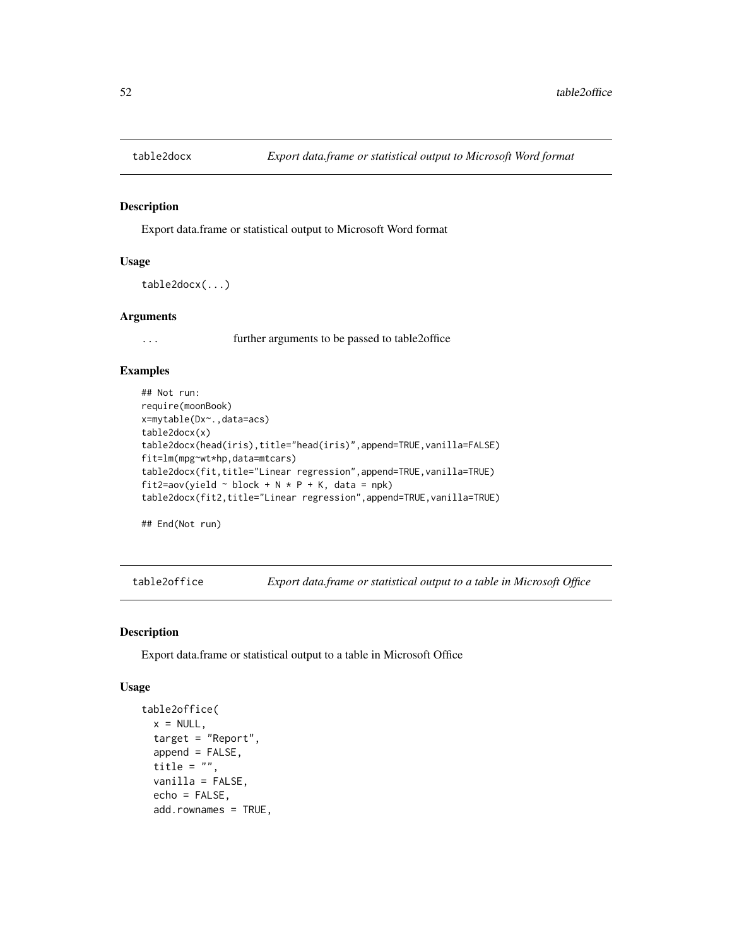<span id="page-51-0"></span>

Export data.frame or statistical output to Microsoft Word format

#### Usage

```
table2docx(...)
```
### Arguments

... further arguments to be passed to table2office

#### Examples

```
## Not run:
require(moonBook)
x=mytable(Dx~.,data=acs)
table2docx(x)
table2docx(head(iris),title="head(iris)",append=TRUE,vanilla=FALSE)
fit=lm(mpg~wt*hp,data=mtcars)
table2docx(fit,title="Linear regression",append=TRUE,vanilla=TRUE)
fit2=aov(yield \sim block + N * P + K, data = npk)
table2docx(fit2,title="Linear regression",append=TRUE,vanilla=TRUE)
```
## End(Not run)

table2office *Export data.frame or statistical output to a table in Microsoft Office*

# Description

Export data.frame or statistical output to a table in Microsoft Office

```
table2office(
 x = NULL,target = "Report",
 append = FALSE,title = ",
 vanilla = FALSE,
  echo = FALSE,
 add.rownames = TRUE,
```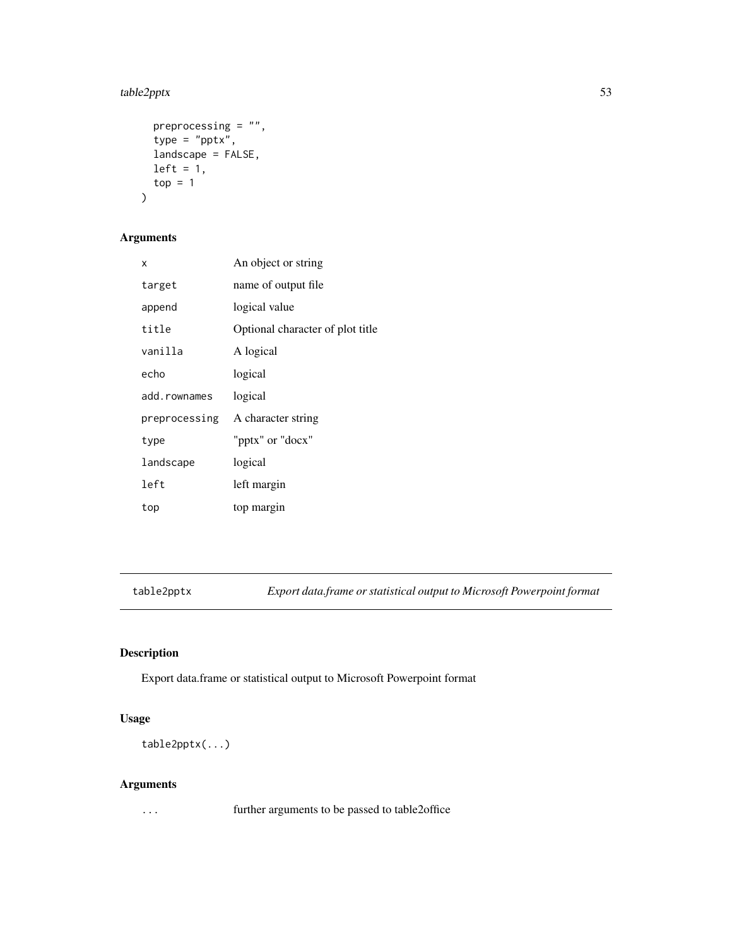# <span id="page-52-0"></span>table2pptx 53

```
preprocessing = ",
 type = "pptx",
 landscape = FALSE,
 left = 1,top = 1)
```
# Arguments

| x            | An object or string              |
|--------------|----------------------------------|
| target       | name of output file              |
| append       | logical value                    |
| title        | Optional character of plot title |
| vanilla      | A logical                        |
| echo         | logical                          |
| add.rownames | logical                          |
|              | preprocessing A character string |
| type         | "pptx" or "docx"                 |
| landscape    | logical                          |
| left         | left margin                      |
| top          | top margin                       |

table2pptx *Export data.frame or statistical output to Microsoft Powerpoint format*

# Description

Export data.frame or statistical output to Microsoft Powerpoint format

# Usage

table2pptx(...)

# Arguments

... further arguments to be passed to table2office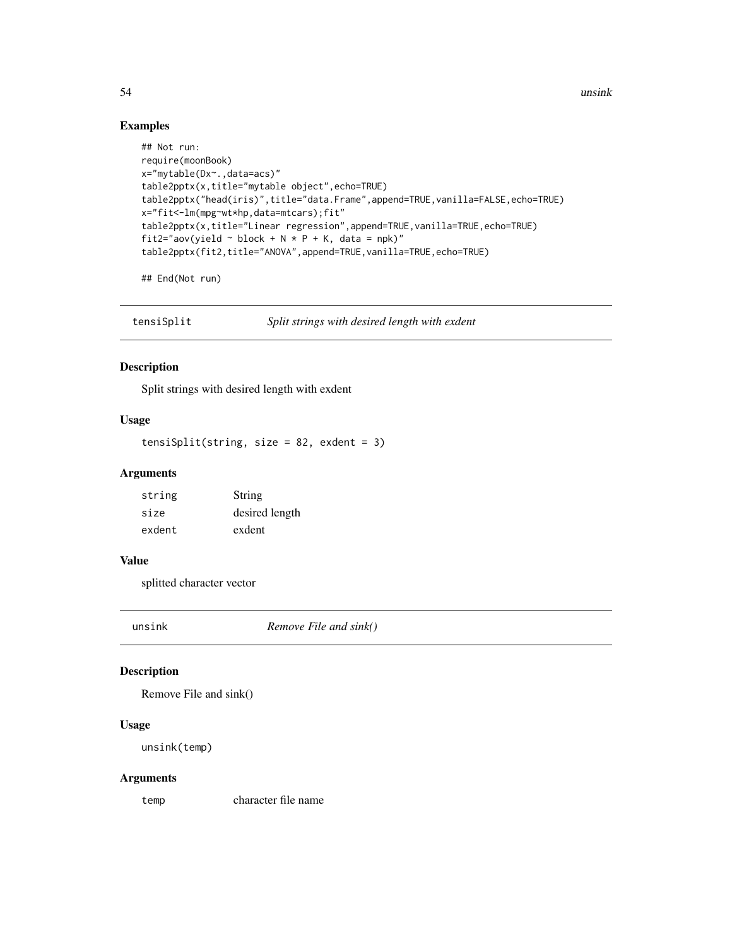54 unsink

# Examples

```
## Not run:
require(moonBook)
x="mytable(Dx~.,data=acs)"
table2pptx(x,title="mytable object",echo=TRUE)
table2pptx("head(iris)",title="data.Frame",append=TRUE,vanilla=FALSE,echo=TRUE)
x="fit<-lm(mpg~wt*hp,data=mtcars);fit"
table2pptx(x,title="Linear regression",append=TRUE,vanilla=TRUE,echo=TRUE)
fit2="aov(yield \sim block + N * P + K, data = npk)"
table2pptx(fit2,title="ANOVA",append=TRUE,vanilla=TRUE,echo=TRUE)
```
## End(Not run)

tensiSplit *Split strings with desired length with exdent*

#### Description

Split strings with desired length with exdent

# Usage

tensiSplit(string, size = 82, exdent = 3)

### Arguments

| string | String         |
|--------|----------------|
| size   | desired length |
| exdent | exdent         |

#### Value

splitted character vector

unsink *Remove File and sink()*

# Description

Remove File and sink()

#### Usage

```
unsink(temp)
```
#### Arguments

temp character file name

<span id="page-53-0"></span>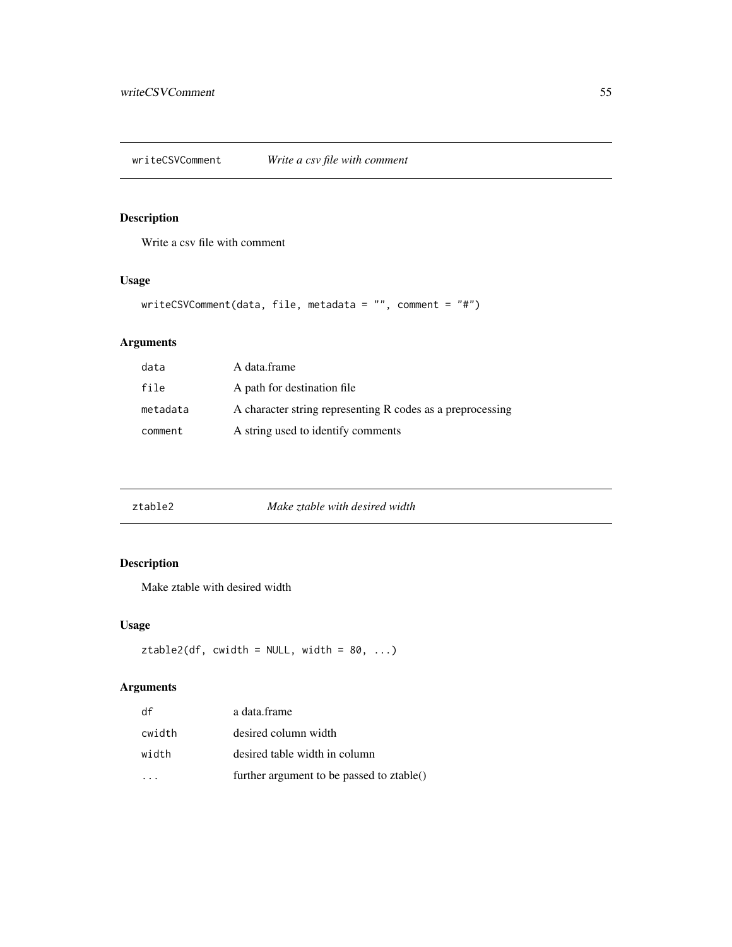<span id="page-54-0"></span>Write a csv file with comment

# Usage

```
writeCSVComment(data, file, metadata = "", comment = "#")
```
# Arguments

| data     | A data.frame                                               |
|----------|------------------------------------------------------------|
| file     | A path for destination file                                |
| metadata | A character string representing R codes as a preprocessing |
| comment  | A string used to identify comments                         |

| ztable2 | Make ztable with desired width |
|---------|--------------------------------|
|---------|--------------------------------|

# Description

Make ztable with desired width

# Usage

```
ztable2(df, width = NULL, width = 80, ...)
```

| df     | a data.frame                              |
|--------|-------------------------------------------|
| cwidth | desired column width                      |
| width  | desired table width in column             |
|        | further argument to be passed to ztable() |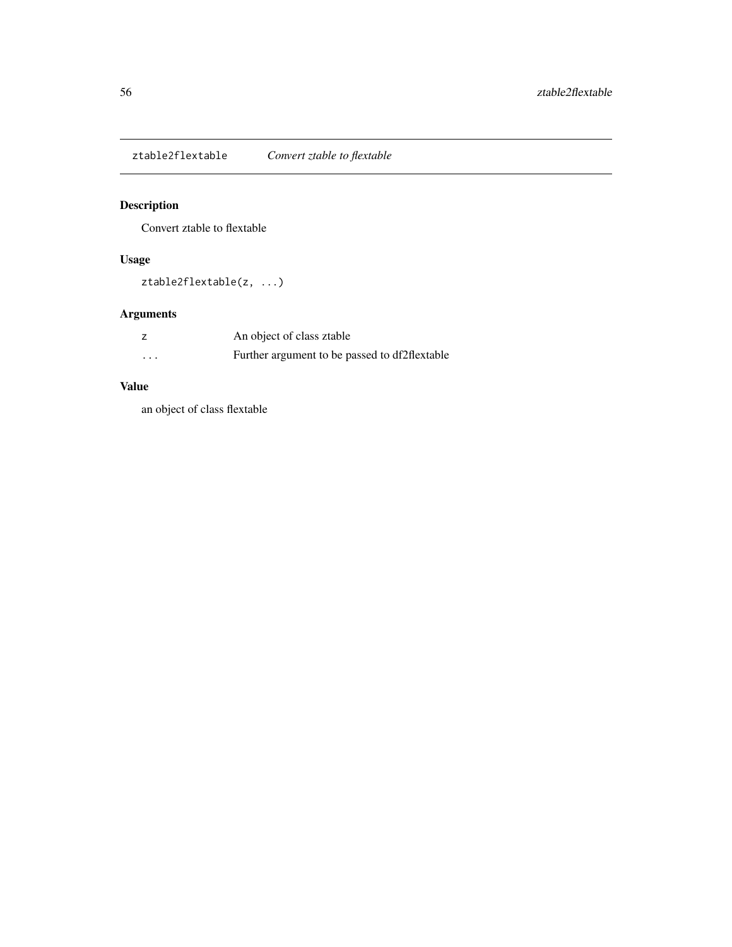<span id="page-55-0"></span>ztable2flextable *Convert ztable to flextable*

# Description

Convert ztable to flextable

# Usage

ztable2flextable(z, ...)

# Arguments

|                   | An object of class ztable                     |
|-------------------|-----------------------------------------------|
| $\cdot\cdot\cdot$ | Further argument to be passed to df2flextable |

# Value

an object of class flextable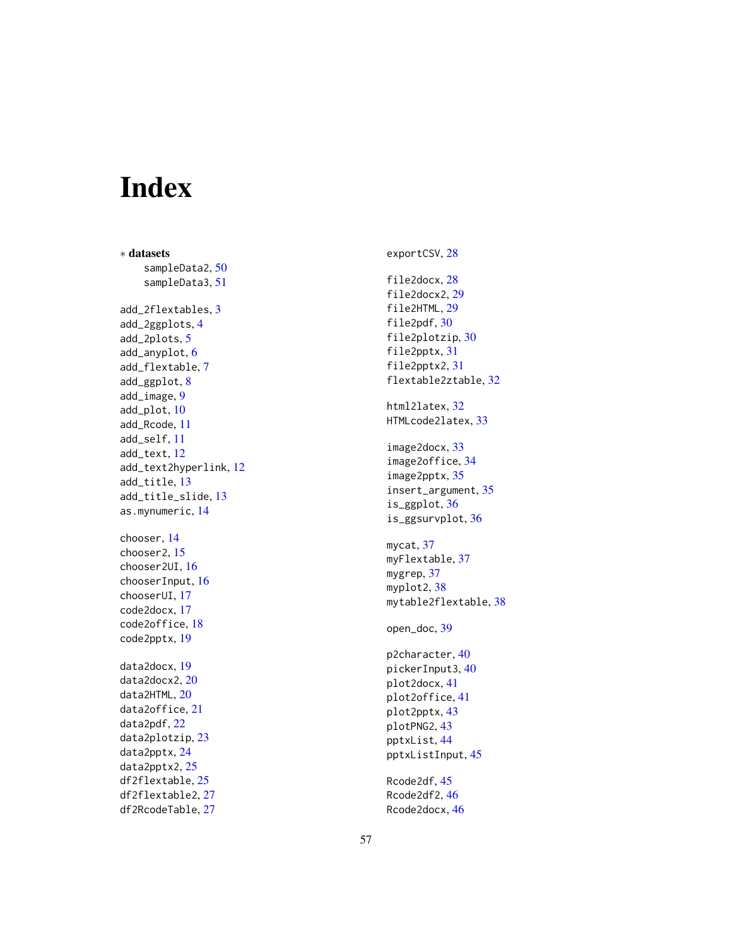# <span id="page-56-0"></span>Index

∗ datasets sampleData2 , [50](#page-49-0) sampleData3 , [51](#page-50-0) add\_2flextables , [3](#page-2-0) add\_2ggplots , [4](#page-3-0) add\_2plots , [5](#page-4-0) add\_anyplot , [6](#page-5-0) add\_flextable , [7](#page-6-0) add\_ggplot, [8](#page-7-0) add\_image , [9](#page-8-0) add\_plot , [10](#page-9-0) add\_Rcode , [11](#page-10-0) add\_self , [11](#page-10-0) add\_text , [12](#page-11-0) add\_text2hyperlink , [12](#page-11-0) add\_title , [13](#page-12-0) add\_title\_slide , [13](#page-12-0) as.mynumeric , [14](#page-13-0) chooser , [14](#page-13-0) chooser2 , [15](#page-14-0) chooser2UI , [16](#page-15-0) chooserInput , [16](#page-15-0) chooserUI , [17](#page-16-0) code2docx , [17](#page-16-0) code2office , [18](#page-17-0) code2pptx , [19](#page-18-0) data2docx , [19](#page-18-0) data2docx2, [20](#page-19-0) data2HTML, [20](#page-19-0) data2office , [21](#page-20-0) data2pdf , [22](#page-21-0) data2plotzip , [23](#page-22-0) data2pptx , [24](#page-23-0) data2pptx2 , [25](#page-24-0) df2flextable , [25](#page-24-0) df2flextable2 , [27](#page-26-0) df2RcodeTable , [27](#page-26-0)

file2docx , [28](#page-27-0) file2docx2 , [29](#page-28-0)

exportCSV , [28](#page-27-0)

file2HTML , [29](#page-28-0) file2pdf, [30](#page-29-0) file2plotzip, [30](#page-29-0) file2pptx , [31](#page-30-0) file2pptx2 , [31](#page-30-0) flextable2ztable , [32](#page-31-0) html2latex , [32](#page-31-0) HTMLcode2latex , [33](#page-32-0) image2docx , [33](#page-32-0) image2office , [34](#page-33-0) image2pptx , [35](#page-34-0) insert\_argument , [35](#page-34-0) is\_ggplot , [36](#page-35-0) is\_ggsurvplot , [36](#page-35-0) mycat, [37](#page-36-0) myFlextable , [37](#page-36-0) mygrep, [37](#page-36-0) myplot2,[38](#page-37-0) mytable2flextable , [38](#page-37-0) open\_doc , [39](#page-38-0)

p2character , [40](#page-39-0) pickerInput3 , [40](#page-39-0) plot2docx , [41](#page-40-0) plot2office , [41](#page-40-0) plot2pptx , [43](#page-42-0) plotPNG2 , [43](#page-42-0) pptxList , [44](#page-43-0) pptxListInput , [45](#page-44-0)

Rcode2df , [45](#page-44-0) Rcode2df2, [46](#page-45-0) Rcode2docx , [46](#page-45-0)